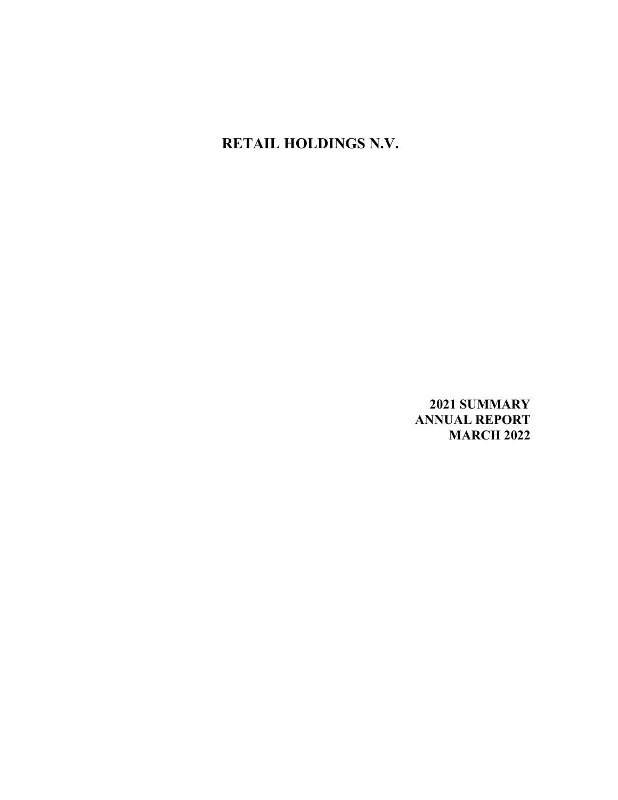**RETAIL HOLDINGS N.V.**

**2021 SUMMARY ANNUAL REPORT MARCH 2022**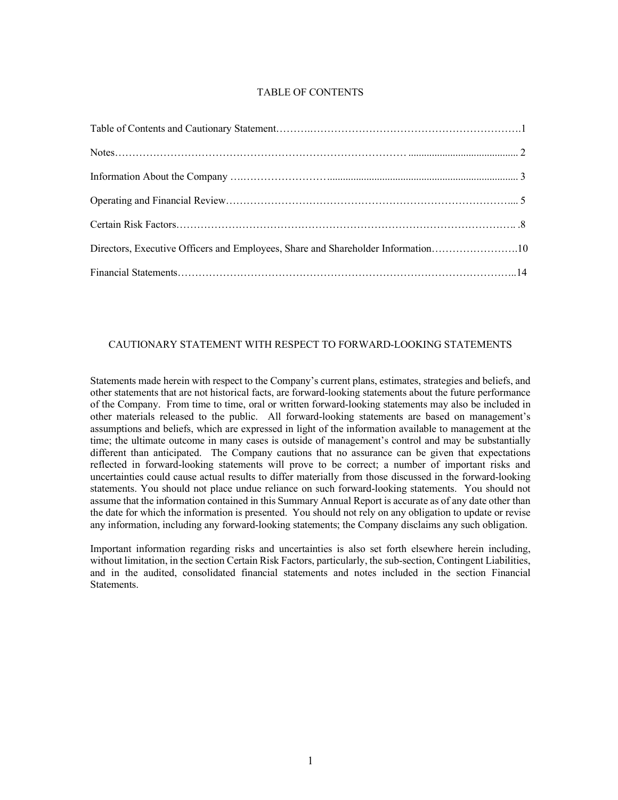# TABLE OF CONTENTS

| Directors, Executive Officers and Employees, Share and Shareholder Information10 |  |
|----------------------------------------------------------------------------------|--|
|                                                                                  |  |

### CAUTIONARY STATEMENT WITH RESPECT TO FORWARD-LOOKING STATEMENTS

Statements made herein with respect to the Company's current plans, estimates, strategies and beliefs, and other statements that are not historical facts, are forward-looking statements about the future performance of the Company. From time to time, oral or written forward-looking statements may also be included in other materials released to the public. All forward-looking statements are based on management's assumptions and beliefs, which are expressed in light of the information available to management at the time; the ultimate outcome in many cases is outside of management's control and may be substantially different than anticipated. The Company cautions that no assurance can be given that expectations reflected in forward-looking statements will prove to be correct; a number of important risks and uncertainties could cause actual results to differ materially from those discussed in the forward-looking statements. You should not place undue reliance on such forward-looking statements. You should not assume that the information contained in this Summary Annual Report is accurate as of any date other than the date for which the information is presented. You should not rely on any obligation to update or revise any information, including any forward-looking statements; the Company disclaims any such obligation.

Important information regarding risks and uncertainties is also set forth elsewhere herein including, without limitation, in the section Certain Risk Factors, particularly, the sub-section, Contingent Liabilities, and in the audited, consolidated financial statements and notes included in the section Financial Statements.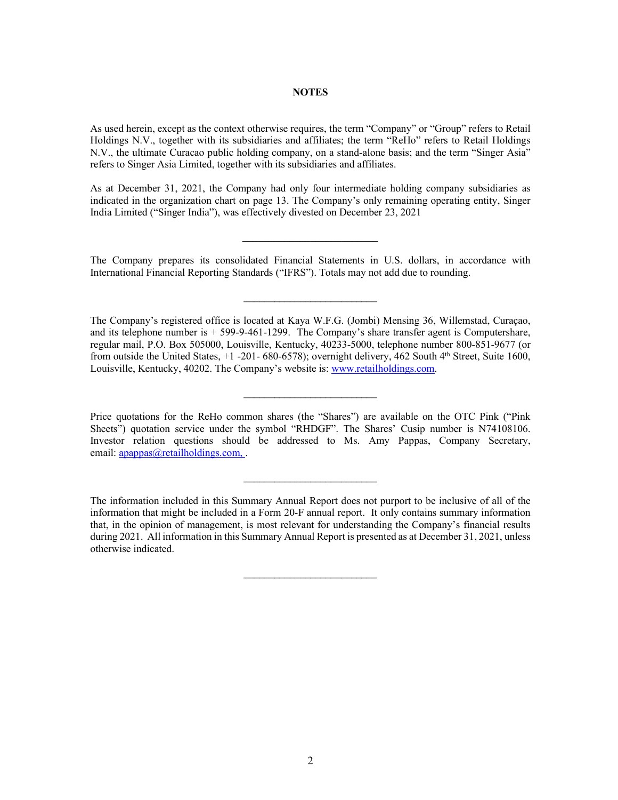#### **NOTES**

As used herein, except as the context otherwise requires, the term "Company" or "Group" refers to Retail Holdings N.V., together with its subsidiaries and affiliates; the term "ReHo" refers to Retail Holdings N.V., the ultimate Curacao public holding company, on a stand-alone basis; and the term "Singer Asia" refers to Singer Asia Limited, together with its subsidiaries and affiliates.

As at December 31, 2021, the Company had only four intermediate holding company subsidiaries as indicated in the organization chart on page 13. The Company's only remaining operating entity, Singer India Limited ("Singer India"), was effectively divested on December 23, 2021

The Company prepares its consolidated Financial Statements in U.S. dollars, in accordance with International Financial Reporting Standards ("IFRS"). Totals may not add due to rounding.

 $\mathcal{L}_\text{max}$  , where  $\mathcal{L}_\text{max}$  , we have the set of  $\mathcal{L}_\text{max}$ 

**\_\_\_\_\_\_\_\_\_\_\_\_\_\_\_\_\_\_\_\_\_\_\_\_\_\_**

The Company's registered office is located at Kaya W.F.G. (Jombi) Mensing 36, Willemstad, Curaçao, and its telephone number is + 599-9-461-1299. The Company's share transfer agent is Computershare, regular mail, P.O. Box 505000, Louisville, Kentucky, 40233-5000, telephone number 800-851-9677 (or from outside the United States, +1 -201- 680-6578); overnight delivery, 462 South 4th Street, Suite 1600, Louisville, Kentucky, 40202. The Company's website is: www.retailholdings.com.

Price quotations for the ReHo common shares (the "Shares") are available on the OTC Pink ("Pink Sheets") quotation service under the symbol "RHDGF". The Shares' Cusip number is N74108106. Investor relation questions should be addressed to Ms. Amy Pappas, Company Secretary, email: apappas@retailholdings.com,.

 $\overline{\phantom{a}}$  , where  $\overline{\phantom{a}}$  , where  $\overline{\phantom{a}}$  , where  $\overline{\phantom{a}}$ 

 $\mathcal{L}_\text{max}$  , where  $\mathcal{L}_\text{max}$  , we have the set of  $\mathcal{L}_\text{max}$ 

The information included in this Summary Annual Report does not purport to be inclusive of all of the information that might be included in a Form 20-F annual report. It only contains summary information that, in the opinion of management, is most relevant for understanding the Company's financial results during 2021. All information in this Summary Annual Report is presented as at December 31, 2021, unless otherwise indicated.

 $\mathcal{L}_\text{max}$  , where  $\mathcal{L}_\text{max}$  , we have the set of  $\mathcal{L}_\text{max}$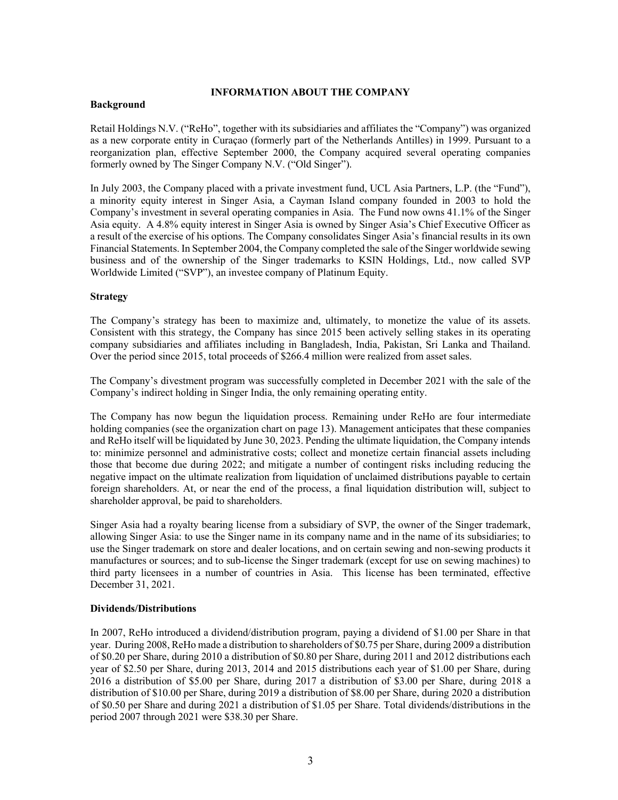# **INFORMATION ABOUT THE COMPANY**

# **Background**

Retail Holdings N.V. ("ReHo", together with its subsidiaries and affiliates the "Company") was organized as a new corporate entity in Curaçao (formerly part of the Netherlands Antilles) in 1999. Pursuant to a reorganization plan, effective September 2000, the Company acquired several operating companies formerly owned by The Singer Company N.V. ("Old Singer").

In July 2003, the Company placed with a private investment fund, UCL Asia Partners, L.P. (the "Fund"), a minority equity interest in Singer Asia, a Cayman Island company founded in 2003 to hold the Company's investment in several operating companies in Asia. The Fund now owns 41.1% of the Singer Asia equity. A 4.8% equity interest in Singer Asia is owned by Singer Asia's Chief Executive Officer as a result of the exercise of his options. The Company consolidates Singer Asia's financial results in its own Financial Statements. In September 2004, the Company completed the sale of the Singer worldwide sewing business and of the ownership of the Singer trademarks to KSIN Holdings, Ltd., now called SVP Worldwide Limited ("SVP"), an investee company of Platinum Equity.

# **Strategy**

The Company's strategy has been to maximize and, ultimately, to monetize the value of its assets. Consistent with this strategy, the Company has since 2015 been actively selling stakes in its operating company subsidiaries and affiliates including in Bangladesh, India, Pakistan, Sri Lanka and Thailand. Over the period since 2015, total proceeds of \$266.4 million were realized from asset sales.

The Company's divestment program was successfully completed in December 2021 with the sale of the Company's indirect holding in Singer India, the only remaining operating entity.

The Company has now begun the liquidation process. Remaining under ReHo are four intermediate holding companies (see the organization chart on page 13). Management anticipates that these companies and ReHo itself will be liquidated by June 30, 2023. Pending the ultimate liquidation, the Company intends to: minimize personnel and administrative costs; collect and monetize certain financial assets including those that become due during 2022; and mitigate a number of contingent risks including reducing the negative impact on the ultimate realization from liquidation of unclaimed distributions payable to certain foreign shareholders. At, or near the end of the process, a final liquidation distribution will, subject to shareholder approval, be paid to shareholders.

Singer Asia had a royalty bearing license from a subsidiary of SVP, the owner of the Singer trademark, allowing Singer Asia: to use the Singer name in its company name and in the name of its subsidiaries; to use the Singer trademark on store and dealer locations, and on certain sewing and non-sewing products it manufactures or sources; and to sub-license the Singer trademark (except for use on sewing machines) to third party licensees in a number of countries in Asia. This license has been terminated, effective December 31, 2021.

# **Dividends/Distributions**

In 2007, ReHo introduced a dividend/distribution program, paying a dividend of \$1.00 per Share in that year. During 2008, ReHo made a distribution to shareholders of \$0.75 per Share, during 2009 a distribution of \$0.20 per Share, during 2010 a distribution of \$0.80 per Share, during 2011 and 2012 distributions each year of \$2.50 per Share, during 2013, 2014 and 2015 distributions each year of \$1.00 per Share, during 2016 a distribution of \$5.00 per Share, during 2017 a distribution of \$3.00 per Share, during 2018 a distribution of \$10.00 per Share, during 2019 a distribution of \$8.00 per Share, during 2020 a distribution of \$0.50 per Share and during 2021 a distribution of \$1.05 per Share. Total dividends/distributions in the period 2007 through 2021 were \$38.30 per Share.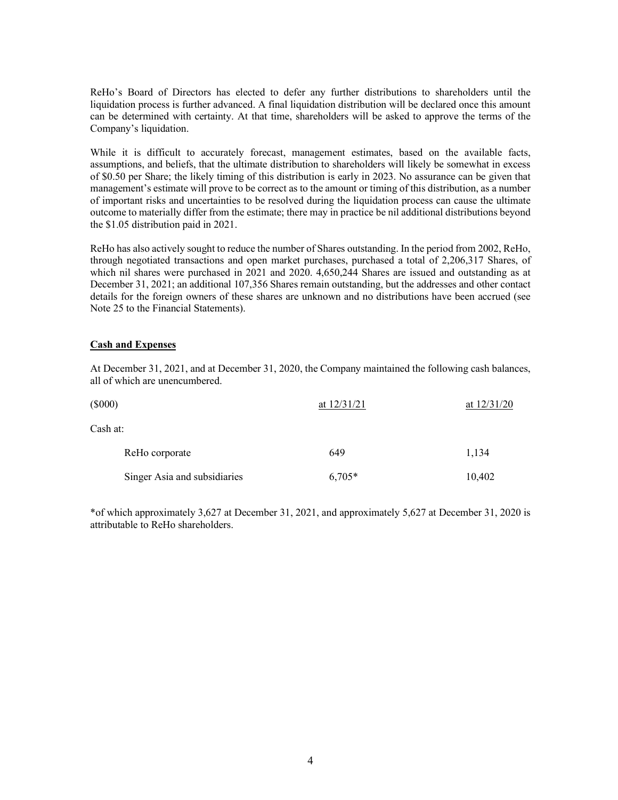ReHo's Board of Directors has elected to defer any further distributions to shareholders until the liquidation process is further advanced. A final liquidation distribution will be declared once this amount can be determined with certainty. At that time, shareholders will be asked to approve the terms of the Company's liquidation.

While it is difficult to accurately forecast, management estimates, based on the available facts, assumptions, and beliefs, that the ultimate distribution to shareholders will likely be somewhat in excess of \$0.50 per Share; the likely timing of this distribution is early in 2023. No assurance can be given that management's estimate will prove to be correct as to the amount or timing of this distribution, as a number of important risks and uncertainties to be resolved during the liquidation process can cause the ultimate outcome to materially differ from the estimate; there may in practice be nil additional distributions beyond the \$1.05 distribution paid in 2021.

ReHo has also actively sought to reduce the number of Shares outstanding. In the period from 2002, ReHo, through negotiated transactions and open market purchases, purchased a total of 2,206,317 Shares, of which nil shares were purchased in 2021 and 2020. 4,650,244 Shares are issued and outstanding as at December 31, 2021; an additional 107,356 Shares remain outstanding, but the addresses and other contact details for the foreign owners of these shares are unknown and no distributions have been accrued (see Note 25 to the Financial Statements).

# **Cash and Expenses**

At December 31, 2021, and at December 31, 2020, the Company maintained the following cash balances, all of which are unencumbered.

| $(\$000)$                    | at $12/31/21$ | at $12/31/20$ |  |  |
|------------------------------|---------------|---------------|--|--|
| Cash at:                     |               |               |  |  |
| ReHo corporate               | 649           | 1,134         |  |  |
| Singer Asia and subsidiaries | $6,705*$      | 10,402        |  |  |

\*of which approximately 3,627 at December 31, 2021, and approximately 5,627 at December 31, 2020 is attributable to ReHo shareholders.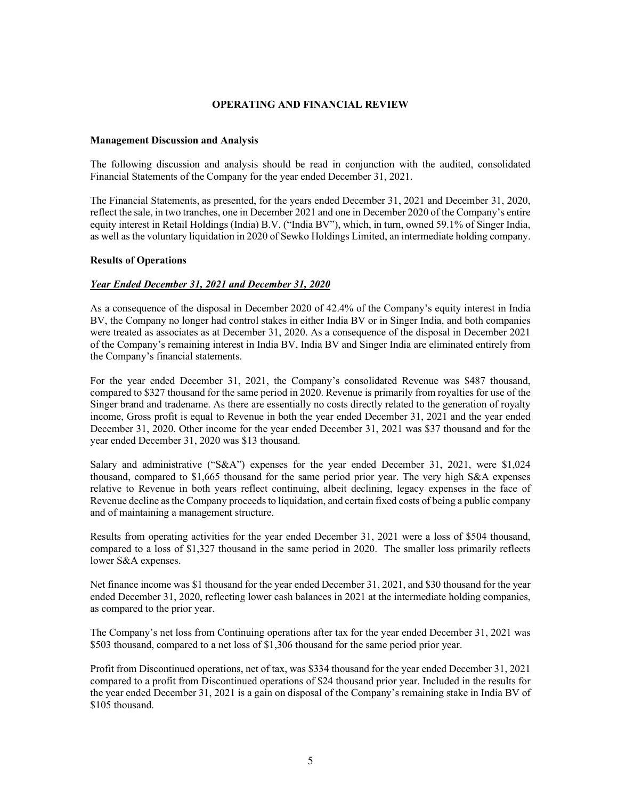### **OPERATING AND FINANCIAL REVIEW**

#### **Management Discussion and Analysis**

The following discussion and analysis should be read in conjunction with the audited, consolidated Financial Statements of the Company for the year ended December 31, 2021.

The Financial Statements, as presented, for the years ended December 31, 2021 and December 31, 2020, reflect the sale, in two tranches, one in December 2021 and one in December 2020 of the Company's entire equity interest in Retail Holdings (India) B.V. ("India BV"), which, in turn, owned 59.1% of Singer India, as well as the voluntary liquidation in 2020 of Sewko Holdings Limited, an intermediate holding company.

### **Results of Operations**

# *Year Ended December 31, 2021 and December 31, 2020*

As a consequence of the disposal in December 2020 of 42.4% of the Company's equity interest in India BV, the Company no longer had control stakes in either India BV or in Singer India, and both companies were treated as associates as at December 31, 2020. As a consequence of the disposal in December 2021 of the Company's remaining interest in India BV, India BV and Singer India are eliminated entirely from the Company's financial statements.

For the year ended December 31, 2021, the Company's consolidated Revenue was \$487 thousand, compared to \$327 thousand for the same period in 2020. Revenue is primarily from royalties for use of the Singer brand and tradename. As there are essentially no costs directly related to the generation of royalty income, Gross profit is equal to Revenue in both the year ended December 31, 2021 and the year ended December 31, 2020. Other income for the year ended December 31, 2021 was \$37 thousand and for the year ended December 31, 2020 was \$13 thousand.

Salary and administrative ("S&A") expenses for the year ended December 31, 2021, were \$1,024 thousand, compared to \$1,665 thousand for the same period prior year. The very high S&A expenses relative to Revenue in both years reflect continuing, albeit declining, legacy expenses in the face of Revenue decline as the Company proceeds to liquidation, and certain fixed costs of being a public company and of maintaining a management structure.

Results from operating activities for the year ended December 31, 2021 were a loss of \$504 thousand, compared to a loss of \$1,327 thousand in the same period in 2020. The smaller loss primarily reflects lower S&A expenses.

Net finance income was \$1 thousand for the year ended December 31, 2021, and \$30 thousand for the year ended December 31, 2020, reflecting lower cash balances in 2021 at the intermediate holding companies, as compared to the prior year.

The Company's net loss from Continuing operations after tax for the year ended December 31, 2021 was \$503 thousand, compared to a net loss of \$1,306 thousand for the same period prior year.

Profit from Discontinued operations, net of tax, was \$334 thousand for the year ended December 31, 2021 compared to a profit from Discontinued operations of \$24 thousand prior year. Included in the results for the year ended December 31, 2021 is a gain on disposal of the Company's remaining stake in India BV of \$105 thousand.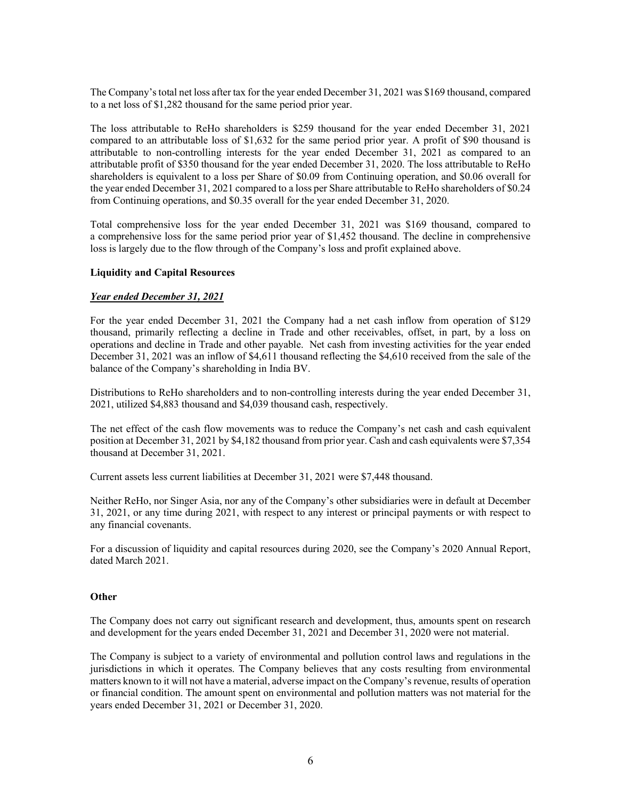The Company's total net loss after tax for the year ended December 31, 2021 was \$169 thousand, compared to a net loss of \$1,282 thousand for the same period prior year.

The loss attributable to ReHo shareholders is \$259 thousand for the year ended December 31, 2021 compared to an attributable loss of \$1,632 for the same period prior year. A profit of \$90 thousand is attributable to non-controlling interests for the year ended December 31, 2021 as compared to an attributable profit of \$350 thousand for the year ended December 31, 2020. The loss attributable to ReHo shareholders is equivalent to a loss per Share of \$0.09 from Continuing operation, and \$0.06 overall for the year ended December 31, 2021 compared to a loss per Share attributable to ReHo shareholders of \$0.24 from Continuing operations, and \$0.35 overall for the year ended December 31, 2020.

Total comprehensive loss for the year ended December 31, 2021 was \$169 thousand, compared to a comprehensive loss for the same period prior year of \$1,452 thousand. The decline in comprehensive loss is largely due to the flow through of the Company's loss and profit explained above.

### **Liquidity and Capital Resources**

### *Year ended December 31, 2021*

For the year ended December 31, 2021 the Company had a net cash inflow from operation of \$129 thousand, primarily reflecting a decline in Trade and other receivables, offset, in part, by a loss on operations and decline in Trade and other payable. Net cash from investing activities for the year ended December 31, 2021 was an inflow of \$4,611 thousand reflecting the \$4,610 received from the sale of the balance of the Company's shareholding in India BV.

Distributions to ReHo shareholders and to non-controlling interests during the year ended December 31, 2021, utilized \$4,883 thousand and \$4,039 thousand cash, respectively.

The net effect of the cash flow movements was to reduce the Company's net cash and cash equivalent position at December 31, 2021 by \$4,182 thousand from prior year. Cash and cash equivalents were \$7,354 thousand at December 31, 2021.

Current assets less current liabilities at December 31, 2021 were \$7,448 thousand.

Neither ReHo, nor Singer Asia, nor any of the Company's other subsidiaries were in default at December 31, 2021, or any time during 2021, with respect to any interest or principal payments or with respect to any financial covenants.

For a discussion of liquidity and capital resources during 2020, see the Company's 2020 Annual Report, dated March 2021.

#### **Other**

The Company does not carry out significant research and development, thus, amounts spent on research and development for the years ended December 31, 2021 and December 31, 2020 were not material.

The Company is subject to a variety of environmental and pollution control laws and regulations in the jurisdictions in which it operates. The Company believes that any costs resulting from environmental matters known to it will not have a material, adverse impact on the Company's revenue, results of operation or financial condition. The amount spent on environmental and pollution matters was not material for the years ended December 31, 2021 or December 31, 2020.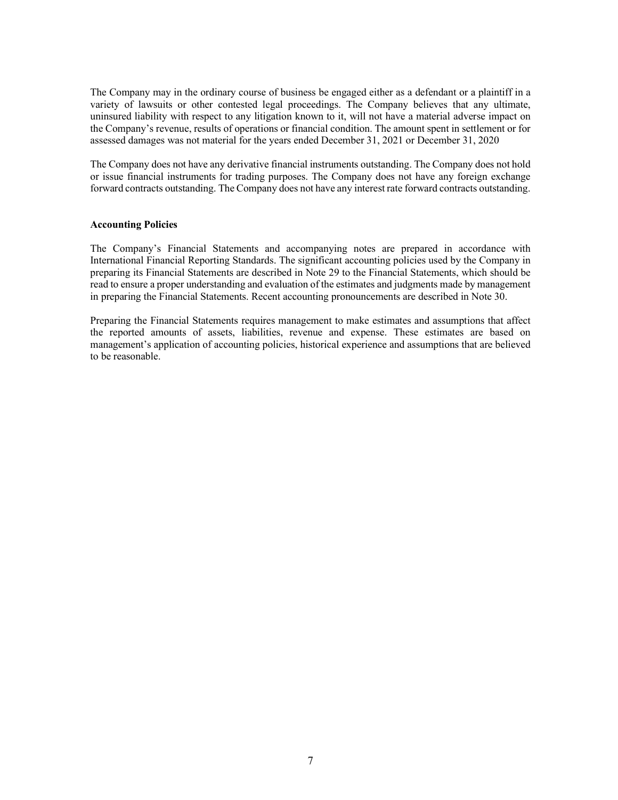The Company may in the ordinary course of business be engaged either as a defendant or a plaintiff in a variety of lawsuits or other contested legal proceedings. The Company believes that any ultimate, uninsured liability with respect to any litigation known to it, will not have a material adverse impact on the Company's revenue, results of operations or financial condition. The amount spent in settlement or for assessed damages was not material for the years ended December 31, 2021 or December 31, 2020

The Company does not have any derivative financial instruments outstanding. The Company does not hold or issue financial instruments for trading purposes. The Company does not have any foreign exchange forward contracts outstanding. The Company does not have any interest rate forward contracts outstanding.

### **Accounting Policies**

The Company's Financial Statements and accompanying notes are prepared in accordance with International Financial Reporting Standards. The significant accounting policies used by the Company in preparing its Financial Statements are described in Note 29 to the Financial Statements, which should be read to ensure a proper understanding and evaluation of the estimates and judgments made by management in preparing the Financial Statements. Recent accounting pronouncements are described in Note 30.

Preparing the Financial Statements requires management to make estimates and assumptions that affect the reported amounts of assets, liabilities, revenue and expense. These estimates are based on management's application of accounting policies, historical experience and assumptions that are believed to be reasonable.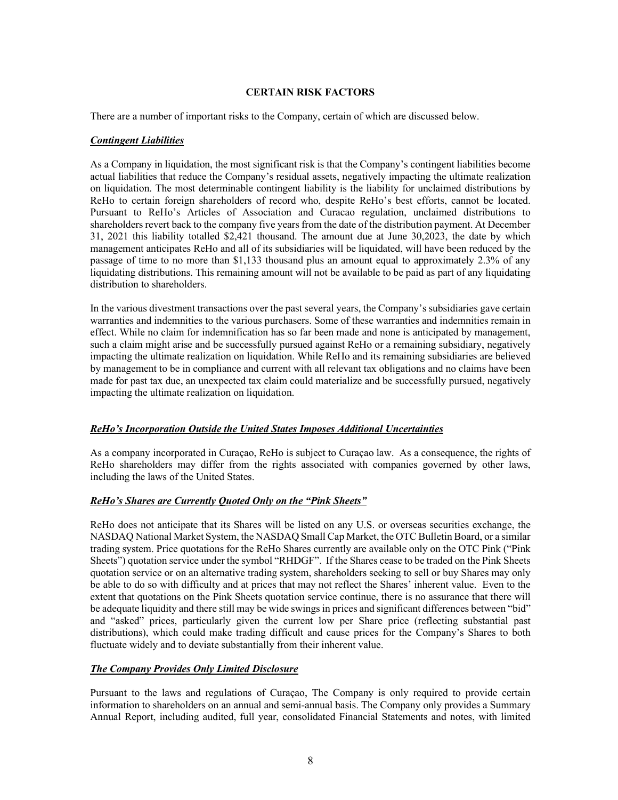# **CERTAIN RISK FACTORS**

There are a number of important risks to the Company, certain of which are discussed below.

# *Contingent Liabilities*

As a Company in liquidation, the most significant risk is that the Company's contingent liabilities become actual liabilities that reduce the Company's residual assets, negatively impacting the ultimate realization on liquidation. The most determinable contingent liability is the liability for unclaimed distributions by ReHo to certain foreign shareholders of record who, despite ReHo's best efforts, cannot be located. Pursuant to ReHo's Articles of Association and Curacao regulation, unclaimed distributions to shareholders revert back to the company five years from the date of the distribution payment. At December 31, 2021 this liability totalled \$2,421 thousand. The amount due at June 30,2023, the date by which management anticipates ReHo and all of its subsidiaries will be liquidated, will have been reduced by the passage of time to no more than \$1,133 thousand plus an amount equal to approximately 2.3% of any liquidating distributions. This remaining amount will not be available to be paid as part of any liquidating distribution to shareholders.

In the various divestment transactions over the past several years, the Company's subsidiaries gave certain warranties and indemnities to the various purchasers. Some of these warranties and indemnities remain in effect. While no claim for indemnification has so far been made and none is anticipated by management, such a claim might arise and be successfully pursued against ReHo or a remaining subsidiary, negatively impacting the ultimate realization on liquidation. While ReHo and its remaining subsidiaries are believed by management to be in compliance and current with all relevant tax obligations and no claims have been made for past tax due, an unexpected tax claim could materialize and be successfully pursued, negatively impacting the ultimate realization on liquidation.

# *ReHo's Incorporation Outside the United States Imposes Additional Uncertainties*

As a company incorporated in Curaçao, ReHo is subject to Curaçao law. As a consequence, the rights of ReHo shareholders may differ from the rights associated with companies governed by other laws, including the laws of the United States.

# *ReHo's Shares are Currently Quoted Only on the "Pink Sheets"*

ReHo does not anticipate that its Shares will be listed on any U.S. or overseas securities exchange, the NASDAQ National Market System, the NASDAQ Small Cap Market, the OTC Bulletin Board, or a similar trading system. Price quotations for the ReHo Shares currently are available only on the OTC Pink ("Pink Sheets") quotation service under the symbol "RHDGF". If the Shares cease to be traded on the Pink Sheets quotation service or on an alternative trading system, shareholders seeking to sell or buy Shares may only be able to do so with difficulty and at prices that may not reflect the Shares' inherent value. Even to the extent that quotations on the Pink Sheets quotation service continue, there is no assurance that there will be adequate liquidity and there still may be wide swings in prices and significant differences between "bid" and "asked" prices, particularly given the current low per Share price (reflecting substantial past distributions), which could make trading difficult and cause prices for the Company's Shares to both fluctuate widely and to deviate substantially from their inherent value.

# *The Company Provides Only Limited Disclosure*

Pursuant to the laws and regulations of Curaçao, The Company is only required to provide certain information to shareholders on an annual and semi-annual basis. The Company only provides a Summary Annual Report, including audited, full year, consolidated Financial Statements and notes, with limited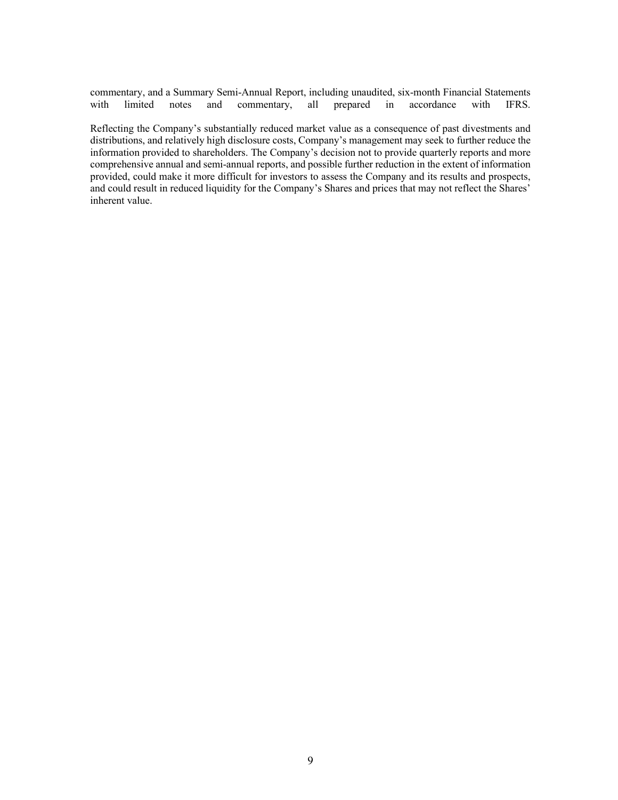commentary, and a Summary Semi-Annual Report, including unaudited, six-month Financial Statements with limited notes and commentary, all prepared in accordance with IFRS.

Reflecting the Company's substantially reduced market value as a consequence of past divestments and distributions, and relatively high disclosure costs, Company's management may seek to further reduce the information provided to shareholders. The Company's decision not to provide quarterly reports and more comprehensive annual and semi-annual reports, and possible further reduction in the extent of information provided, could make it more difficult for investors to assess the Company and its results and prospects, and could result in reduced liquidity for the Company's Shares and prices that may not reflect the Shares' inherent value.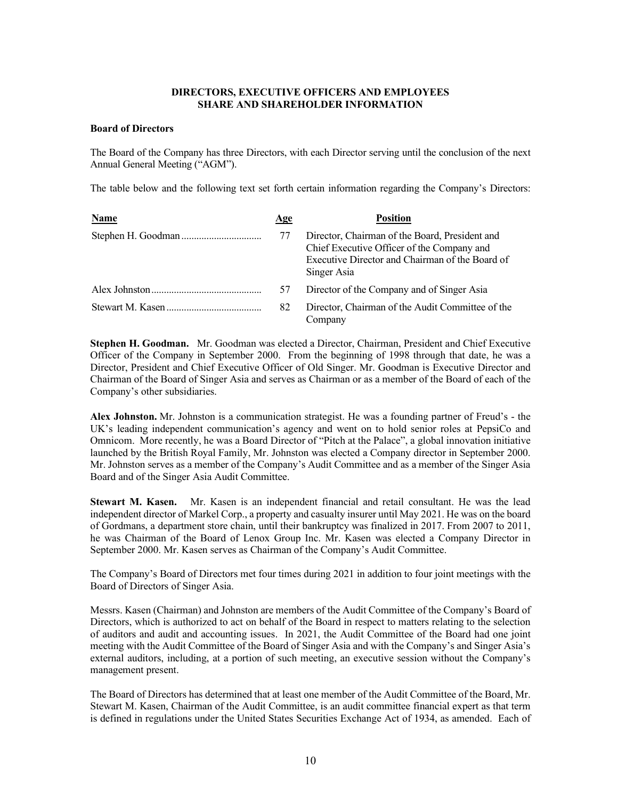### **DIRECTORS, EXECUTIVE OFFICERS AND EMPLOYEES SHARE AND SHAREHOLDER INFORMATION**

### **Board of Directors**

The Board of the Company has three Directors, with each Director serving until the conclusion of the next Annual General Meeting ("AGM").

The table below and the following text set forth certain information regarding the Company's Directors:

| Name | Age | <b>Position</b>                                                                                                                                                |
|------|-----|----------------------------------------------------------------------------------------------------------------------------------------------------------------|
|      | 77  | Director, Chairman of the Board, President and<br>Chief Executive Officer of the Company and<br>Executive Director and Chairman of the Board of<br>Singer Asia |
|      | 57  | Director of the Company and of Singer Asia                                                                                                                     |
|      | 82  | Director, Chairman of the Audit Committee of the<br>Company                                                                                                    |

**Stephen H. Goodman.** Mr. Goodman was elected a Director, Chairman, President and Chief Executive Officer of the Company in September 2000. From the beginning of 1998 through that date, he was a Director, President and Chief Executive Officer of Old Singer. Mr. Goodman is Executive Director and Chairman of the Board of Singer Asia and serves as Chairman or as a member of the Board of each of the Company's other subsidiaries.

**Alex Johnston.** Mr. Johnston is a communication strategist. He was a founding partner of Freud's - the UK's leading independent communication's agency and went on to hold senior roles at PepsiCo and Omnicom. More recently, he was a Board Director of "Pitch at the Palace", a global innovation initiative launched by the British Royal Family, Mr. Johnston was elected a Company director in September 2000. Mr. Johnston serves as a member of the Company's Audit Committee and as a member of the Singer Asia Board and of the Singer Asia Audit Committee.

**Stewart M. Kasen.** Mr. Kasen is an independent financial and retail consultant. He was the lead independent director of Markel Corp., a property and casualty insurer until May 2021. He was on the board of Gordmans, a department store chain, until their bankruptcy was finalized in 2017. From 2007 to 2011, he was Chairman of the Board of Lenox Group Inc. Mr. Kasen was elected a Company Director in September 2000. Mr. Kasen serves as Chairman of the Company's Audit Committee.

The Company's Board of Directors met four times during 2021 in addition to four joint meetings with the Board of Directors of Singer Asia.

Messrs. Kasen (Chairman) and Johnston are members of the Audit Committee of the Company's Board of Directors, which is authorized to act on behalf of the Board in respect to matters relating to the selection of auditors and audit and accounting issues. In 2021, the Audit Committee of the Board had one joint meeting with the Audit Committee of the Board of Singer Asia and with the Company's and Singer Asia's external auditors, including, at a portion of such meeting, an executive session without the Company's management present.

The Board of Directors has determined that at least one member of the Audit Committee of the Board, Mr. Stewart M. Kasen, Chairman of the Audit Committee, is an audit committee financial expert as that term is defined in regulations under the United States Securities Exchange Act of 1934, as amended. Each of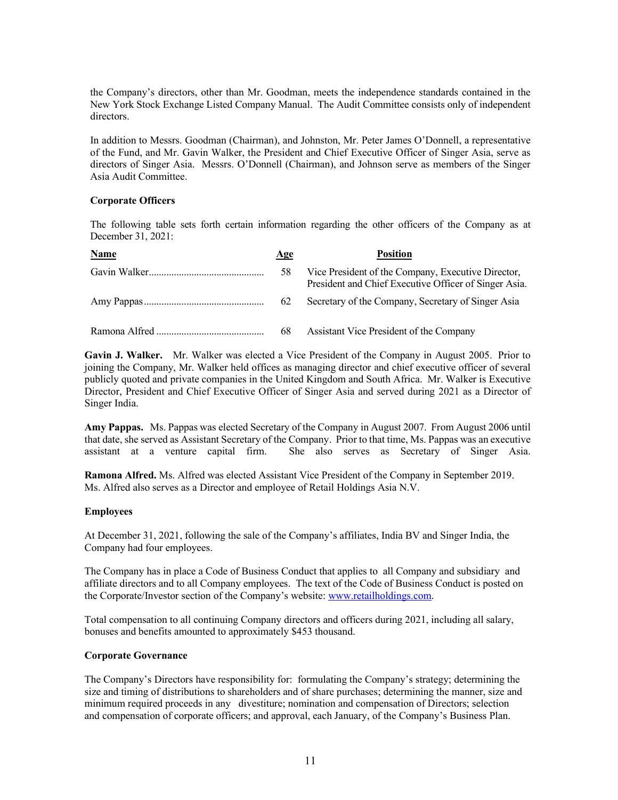the Company's directors, other than Mr. Goodman, meets the independence standards contained in the New York Stock Exchange Listed Company Manual. The Audit Committee consists only of independent directors.

In addition to Messrs. Goodman (Chairman), and Johnston, Mr. Peter James O'Donnell, a representative of the Fund, and Mr. Gavin Walker, the President and Chief Executive Officer of Singer Asia, serve as directors of Singer Asia. Messrs. O'Donnell (Chairman), and Johnson serve as members of the Singer Asia Audit Committee.

# **Corporate Officers**

The following table sets forth certain information regarding the other officers of the Company as at December 31, 2021:

| Name | Age | <b>Position</b>                                                                                             |
|------|-----|-------------------------------------------------------------------------------------------------------------|
|      | 58  | Vice President of the Company, Executive Director,<br>President and Chief Executive Officer of Singer Asia. |
|      | 62  | Secretary of the Company, Secretary of Singer Asia                                                          |
|      | 68  | Assistant Vice President of the Company                                                                     |

**Gavin J. Walker.** Mr. Walker was elected a Vice President of the Company in August 2005. Prior to joining the Company, Mr. Walker held offices as managing director and chief executive officer of several publicly quoted and private companies in the United Kingdom and South Africa. Mr. Walker is Executive Director, President and Chief Executive Officer of Singer Asia and served during 2021 as a Director of Singer India.

**Amy Pappas.** Ms. Pappas was elected Secretary of the Company in August 2007. From August 2006 until that date, she served as Assistant Secretary of the Company. Prior to that time, Ms. Pappas was an executive assistant at a venture capital firm. She also serves as Secretary of Singer Asia.

**Ramona Alfred.** Ms. Alfred was elected Assistant Vice President of the Company in September 2019. Ms. Alfred also serves as a Director and employee of Retail Holdings Asia N.V.

# **Employees**

At December 31, 2021, following the sale of the Company's affiliates, India BV and Singer India, the Company had four employees.

The Company has in place a Code of Business Conduct that applies to all Company and subsidiary and affiliate directors and to all Company employees. The text of the Code of Business Conduct is posted on the Corporate/Investor section of the Company's website: www.retailholdings.com.

Total compensation to all continuing Company directors and officers during 2021, including all salary, bonuses and benefits amounted to approximately \$453 thousand.

# **Corporate Governance**

The Company's Directors have responsibility for: formulating the Company's strategy; determining the size and timing of distributions to shareholders and of share purchases; determining the manner, size and minimum required proceeds in any divestiture; nomination and compensation of Directors; selection and compensation of corporate officers; and approval, each January, of the Company's Business Plan.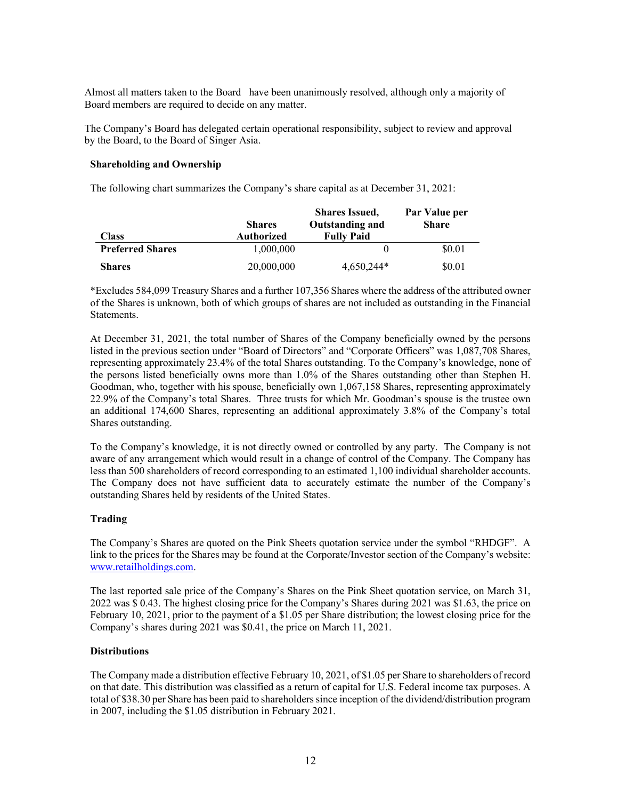Almost all matters taken to the Board have been unanimously resolved, although only a majority of Board members are required to decide on any matter.

The Company's Board has delegated certain operational responsibility, subject to review and approval by the Board, to the Board of Singer Asia.

### **Shareholding and Ownership**

The following chart summarizes the Company's share capital as at December 31, 2021:

|                         | <b>Shares</b> | <b>Shares Issued,</b><br><b>Outstanding and</b> | Par Value per<br><b>Share</b> |
|-------------------------|---------------|-------------------------------------------------|-------------------------------|
| <b>Class</b>            | Authorized    | <b>Fully Paid</b>                               |                               |
| <b>Preferred Shares</b> | 1.000.000     |                                                 | \$0.01                        |
| <b>Shares</b>           | 20,000,000    | $4.650.244*$                                    | \$0.01                        |

\*Excludes 584,099 Treasury Shares and a further 107,356 Shares where the address of the attributed owner of the Shares is unknown, both of which groups of shares are not included as outstanding in the Financial Statements.

At December 31, 2021, the total number of Shares of the Company beneficially owned by the persons listed in the previous section under "Board of Directors" and "Corporate Officers" was 1,087,708 Shares, representing approximately 23.4% of the total Shares outstanding. To the Company's knowledge, none of the persons listed beneficially owns more than 1.0% of the Shares outstanding other than Stephen H. Goodman, who, together with his spouse, beneficially own 1,067,158 Shares, representing approximately 22.9% of the Company's total Shares. Three trusts for which Mr. Goodman's spouse is the trustee own an additional 174,600 Shares, representing an additional approximately 3.8% of the Company's total Shares outstanding.

To the Company's knowledge, it is not directly owned or controlled by any party. The Company is not aware of any arrangement which would result in a change of control of the Company. The Company has less than 500 shareholders of record corresponding to an estimated 1,100 individual shareholder accounts. The Company does not have sufficient data to accurately estimate the number of the Company's outstanding Shares held by residents of the United States.

# **Trading**

The Company's Shares are quoted on the Pink Sheets quotation service under the symbol "RHDGF". A link to the prices for the Shares may be found at the Corporate/Investor section of the Company's website: www.retailholdings.com.

The last reported sale price of the Company's Shares on the Pink Sheet quotation service, on March 31, 2022 was \$ 0.43. The highest closing price for the Company's Shares during 2021 was \$1.63, the price on February 10, 2021, prior to the payment of a \$1.05 per Share distribution; the lowest closing price for the Company's shares during 2021 was \$0.41, the price on March 11, 2021.

# **Distributions**

The Company made a distribution effective February 10, 2021, of \$1.05 per Share to shareholders of record on that date. This distribution was classified as a return of capital for U.S. Federal income tax purposes. A total of \$38.30 per Share has been paid to shareholders since inception of the dividend/distribution program in 2007, including the \$1.05 distribution in February 2021.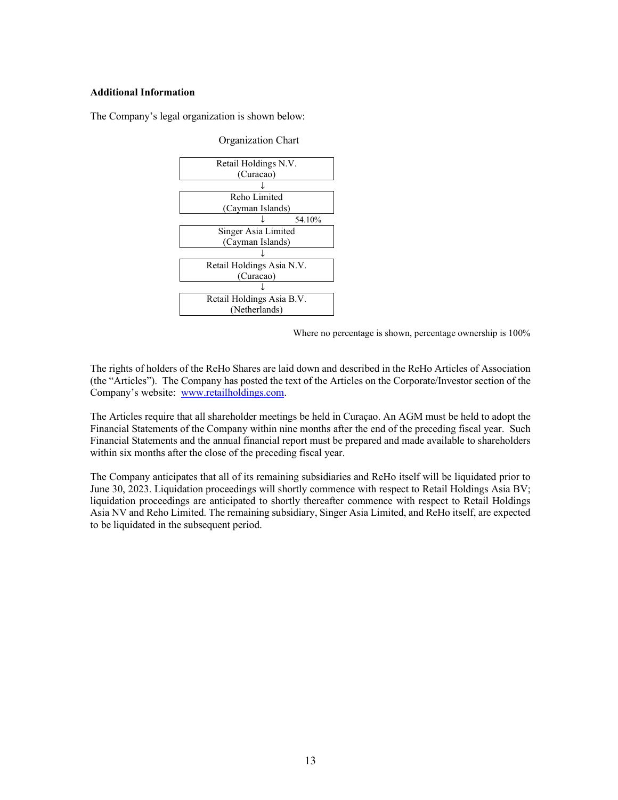### **Additional Information**

The Company's legal organization is shown below:

| Retail Holdings N.V.      |
|---------------------------|
| (Curacao)                 |
|                           |
| Reho Limited              |
| (Cayman Islands)          |
| 54.10%                    |
| Singer Asia Limited       |
| (Cayman Islands)          |
|                           |
| Retail Holdings Asia N.V. |
| (Curacao)                 |
|                           |
| Retail Holdings Asia B.V. |
| (Netherlands)             |

Organization Chart

Where no percentage is shown, percentage ownership is 100%

The rights of holders of the ReHo Shares are laid down and described in the ReHo Articles of Association (the "Articles"). The Company has posted the text of the Articles on the Corporate/Investor section of the Company's website: www.retailholdings.com.

The Articles require that all shareholder meetings be held in Curaçao. An AGM must be held to adopt the Financial Statements of the Company within nine months after the end of the preceding fiscal year. Such Financial Statements and the annual financial report must be prepared and made available to shareholders within six months after the close of the preceding fiscal year.

The Company anticipates that all of its remaining subsidiaries and ReHo itself will be liquidated prior to June 30, 2023. Liquidation proceedings will shortly commence with respect to Retail Holdings Asia BV; liquidation proceedings are anticipated to shortly thereafter commence with respect to Retail Holdings Asia NV and Reho Limited. The remaining subsidiary, Singer Asia Limited, and ReHo itself, are expected to be liquidated in the subsequent period.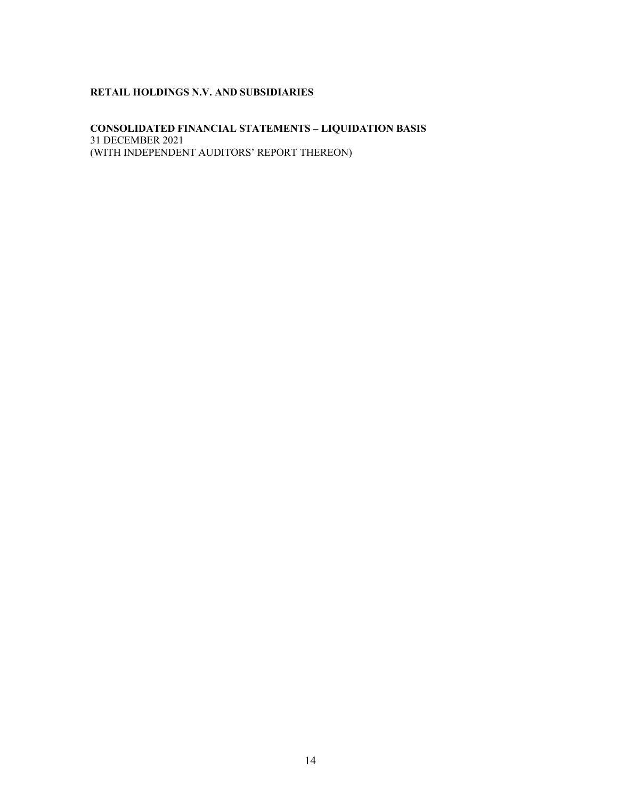# **CONSOLIDATED FINANCIAL STATEMENTS – LIQUIDATION BASIS** 31 DECEMBER 2021 (WITH INDEPENDENT AUDITORS' REPORT THEREON)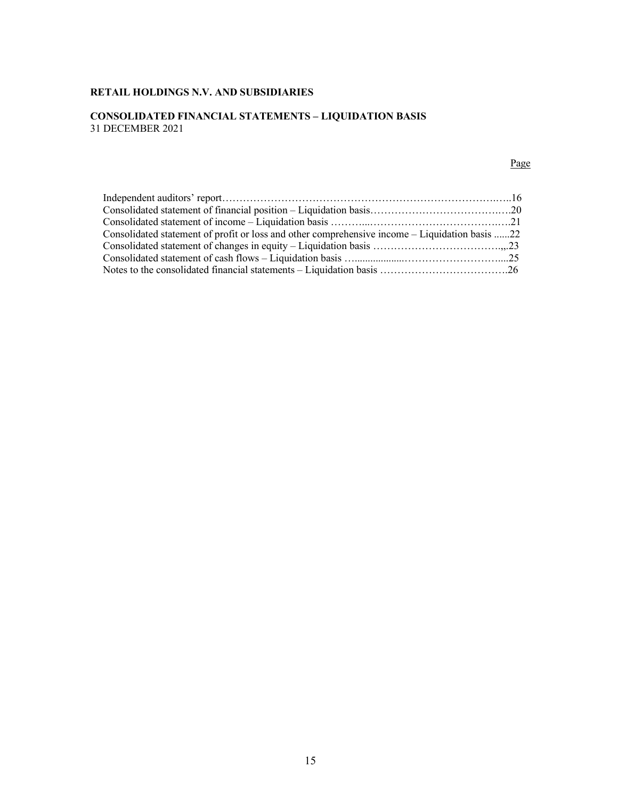# **CONSOLIDATED FINANCIAL STATEMENTS – LIQUIDATION BASIS** 31 DECEMBER 2021

#### **Page Page**

| Consolidated statement of profit or loss and other comprehensive income – Liquidation basis 22 |  |
|------------------------------------------------------------------------------------------------|--|
|                                                                                                |  |
|                                                                                                |  |
|                                                                                                |  |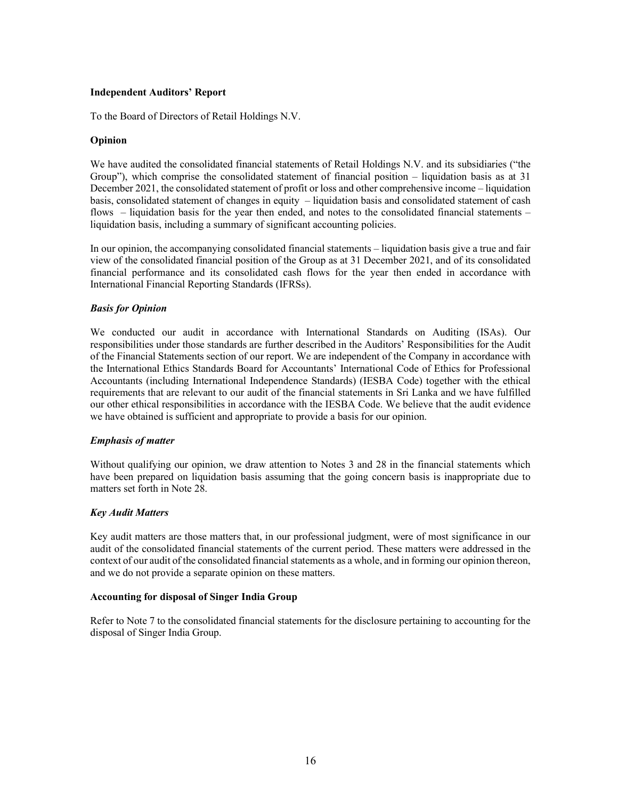# **Independent Auditors' Report**

To the Board of Directors of Retail Holdings N.V.

### **Opinion**

We have audited the consolidated financial statements of Retail Holdings N.V. and its subsidiaries ("the Group"), which comprise the consolidated statement of financial position – liquidation basis as at 31 December 2021, the consolidated statement of profit or loss and other comprehensive income – liquidation basis, consolidated statement of changes in equity – liquidation basis and consolidated statement of cash flows – liquidation basis for the year then ended, and notes to the consolidated financial statements – liquidation basis, including a summary of significant accounting policies.

In our opinion, the accompanying consolidated financial statements – liquidation basis give a true and fair view of the consolidated financial position of the Group as at 31 December 2021, and of its consolidated financial performance and its consolidated cash flows for the year then ended in accordance with International Financial Reporting Standards (IFRSs).

### *Basis for Opinion*

We conducted our audit in accordance with International Standards on Auditing (ISAs). Our responsibilities under those standards are further described in the Auditors' Responsibilities for the Audit of the Financial Statements section of our report. We are independent of the Company in accordance with the International Ethics Standards Board for Accountants' International Code of Ethics for Professional Accountants (including International Independence Standards) (IESBA Code) together with the ethical requirements that are relevant to our audit of the financial statements in Sri Lanka and we have fulfilled our other ethical responsibilities in accordance with the IESBA Code. We believe that the audit evidence we have obtained is sufficient and appropriate to provide a basis for our opinion.

#### *Emphasis of matter*

Without qualifying our opinion, we draw attention to Notes 3 and 28 in the financial statements which have been prepared on liquidation basis assuming that the going concern basis is inappropriate due to matters set forth in Note 28.

#### *Key Audit Matters*

Key audit matters are those matters that, in our professional judgment, were of most significance in our audit of the consolidated financial statements of the current period. These matters were addressed in the context of our audit of the consolidated financial statements as a whole, and in forming our opinion thereon, and we do not provide a separate opinion on these matters.

#### **Accounting for disposal of Singer India Group**

Refer to Note 7 to the consolidated financial statements for the disclosure pertaining to accounting for the disposal of Singer India Group.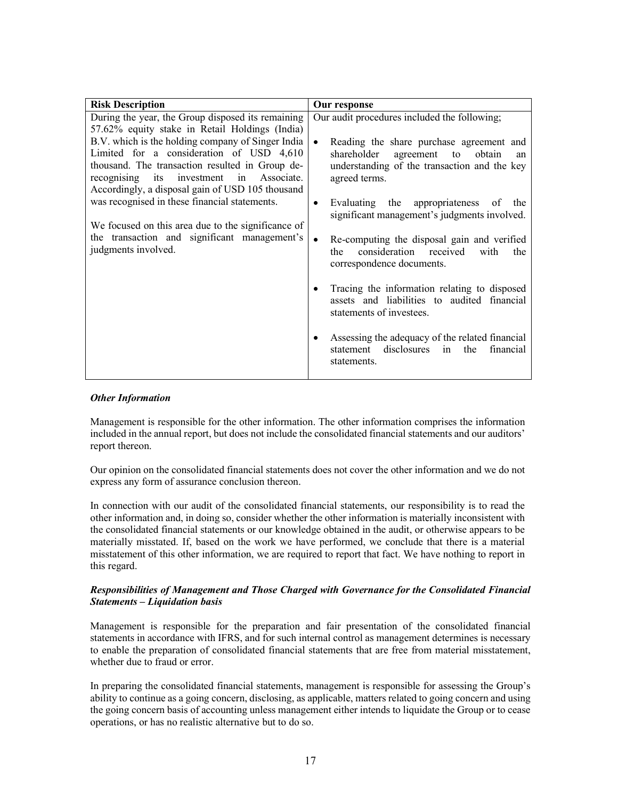| <b>Risk Description</b>                                                                                                                                                                                                                                                                                                                                                                                                                                                                                                                  | Our response                                                                                                                                                                                                                                                                                                                                                                                                                                                                                                                                                                                                                                                                                                                         |
|------------------------------------------------------------------------------------------------------------------------------------------------------------------------------------------------------------------------------------------------------------------------------------------------------------------------------------------------------------------------------------------------------------------------------------------------------------------------------------------------------------------------------------------|--------------------------------------------------------------------------------------------------------------------------------------------------------------------------------------------------------------------------------------------------------------------------------------------------------------------------------------------------------------------------------------------------------------------------------------------------------------------------------------------------------------------------------------------------------------------------------------------------------------------------------------------------------------------------------------------------------------------------------------|
| During the year, the Group disposed its remaining<br>57.62% equity stake in Retail Holdings (India)<br>B.V. which is the holding company of Singer India<br>Limited for a consideration of USD 4,610<br>thousand. The transaction resulted in Group de-<br>recognising its investment in<br>Associate.<br>Accordingly, a disposal gain of USD 105 thousand<br>was recognised in these financial statements.<br>We focused on this area due to the significance of<br>the transaction and significant management's<br>judgments involved. | Our audit procedures included the following;<br>Reading the share purchase agreement and<br>$\bullet$<br>shareholder<br>agreement to<br>obtain<br>an<br>understanding of the transaction and the key<br>agreed terms.<br>Evaluating the appropriateness of the<br>$\bullet$<br>significant management's judgments involved.<br>Re-computing the disposal gain and verified<br>consideration received<br>with<br>the<br>the<br>correspondence documents.<br>Tracing the information relating to disposed<br>$\bullet$<br>assets and liabilities to audited financial<br>statements of investees.<br>Assessing the adequacy of the related financial<br>$\bullet$<br>disclosures<br>statement<br>the<br>financial<br>in<br>statements. |
|                                                                                                                                                                                                                                                                                                                                                                                                                                                                                                                                          |                                                                                                                                                                                                                                                                                                                                                                                                                                                                                                                                                                                                                                                                                                                                      |

# *Other Information*

Management is responsible for the other information. The other information comprises the information included in the annual report, but does not include the consolidated financial statements and our auditors' report thereon.

Our opinion on the consolidated financial statements does not cover the other information and we do not express any form of assurance conclusion thereon.

In connection with our audit of the consolidated financial statements, our responsibility is to read the other information and, in doing so, consider whether the other information is materially inconsistent with the consolidated financial statements or our knowledge obtained in the audit, or otherwise appears to be materially misstated. If, based on the work we have performed, we conclude that there is a material misstatement of this other information, we are required to report that fact. We have nothing to report in this regard.

# *Responsibilities of Management and Those Charged with Governance for the Consolidated Financial Statements – Liquidation basis*

Management is responsible for the preparation and fair presentation of the consolidated financial statements in accordance with IFRS, and for such internal control as management determines is necessary to enable the preparation of consolidated financial statements that are free from material misstatement, whether due to fraud or error.

In preparing the consolidated financial statements, management is responsible for assessing the Group's ability to continue as a going concern, disclosing, as applicable, matters related to going concern and using the going concern basis of accounting unless management either intends to liquidate the Group or to cease operations, or has no realistic alternative but to do so.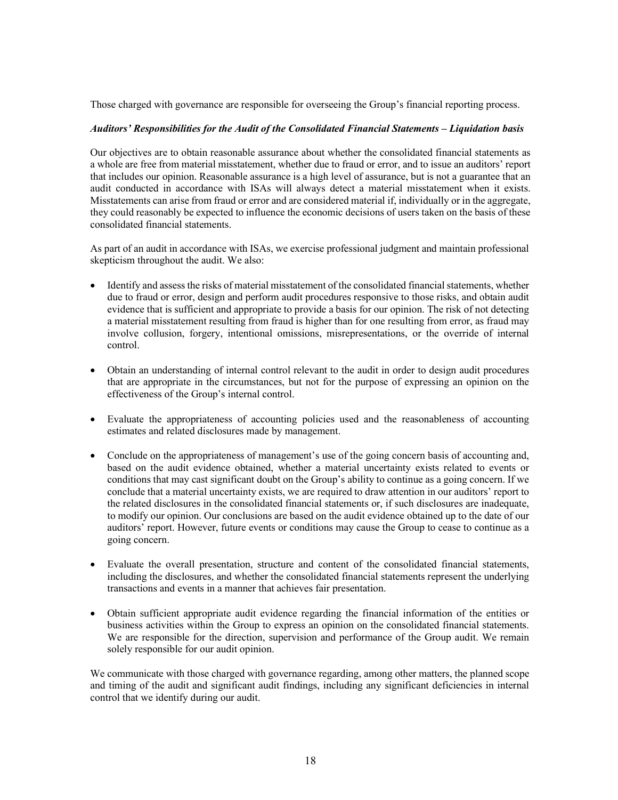Those charged with governance are responsible for overseeing the Group's financial reporting process.

### *Auditors' Responsibilities for the Audit of the Consolidated Financial Statements – Liquidation basis*

Our objectives are to obtain reasonable assurance about whether the consolidated financial statements as a whole are free from material misstatement, whether due to fraud or error, and to issue an auditors' report that includes our opinion. Reasonable assurance is a high level of assurance, but is not a guarantee that an audit conducted in accordance with ISAs will always detect a material misstatement when it exists. Misstatements can arise from fraud or error and are considered material if, individually or in the aggregate, they could reasonably be expected to influence the economic decisions of users taken on the basis of these consolidated financial statements.

As part of an audit in accordance with ISAs, we exercise professional judgment and maintain professional skepticism throughout the audit. We also:

- Identify and assess the risks of material misstatement of the consolidated financial statements, whether due to fraud or error, design and perform audit procedures responsive to those risks, and obtain audit evidence that is sufficient and appropriate to provide a basis for our opinion. The risk of not detecting a material misstatement resulting from fraud is higher than for one resulting from error, as fraud may involve collusion, forgery, intentional omissions, misrepresentations, or the override of internal control.
- Obtain an understanding of internal control relevant to the audit in order to design audit procedures that are appropriate in the circumstances, but not for the purpose of expressing an opinion on the effectiveness of the Group's internal control.
- Evaluate the appropriateness of accounting policies used and the reasonableness of accounting estimates and related disclosures made by management.
- Conclude on the appropriateness of management's use of the going concern basis of accounting and, based on the audit evidence obtained, whether a material uncertainty exists related to events or conditions that may cast significant doubt on the Group's ability to continue as a going concern. If we conclude that a material uncertainty exists, we are required to draw attention in our auditors' report to the related disclosures in the consolidated financial statements or, if such disclosures are inadequate, to modify our opinion. Our conclusions are based on the audit evidence obtained up to the date of our auditors' report. However, future events or conditions may cause the Group to cease to continue as a going concern.
- Evaluate the overall presentation, structure and content of the consolidated financial statements, including the disclosures, and whether the consolidated financial statements represent the underlying transactions and events in a manner that achieves fair presentation.
- Obtain sufficient appropriate audit evidence regarding the financial information of the entities or business activities within the Group to express an opinion on the consolidated financial statements. We are responsible for the direction, supervision and performance of the Group audit. We remain solely responsible for our audit opinion.

We communicate with those charged with governance regarding, among other matters, the planned scope and timing of the audit and significant audit findings, including any significant deficiencies in internal control that we identify during our audit.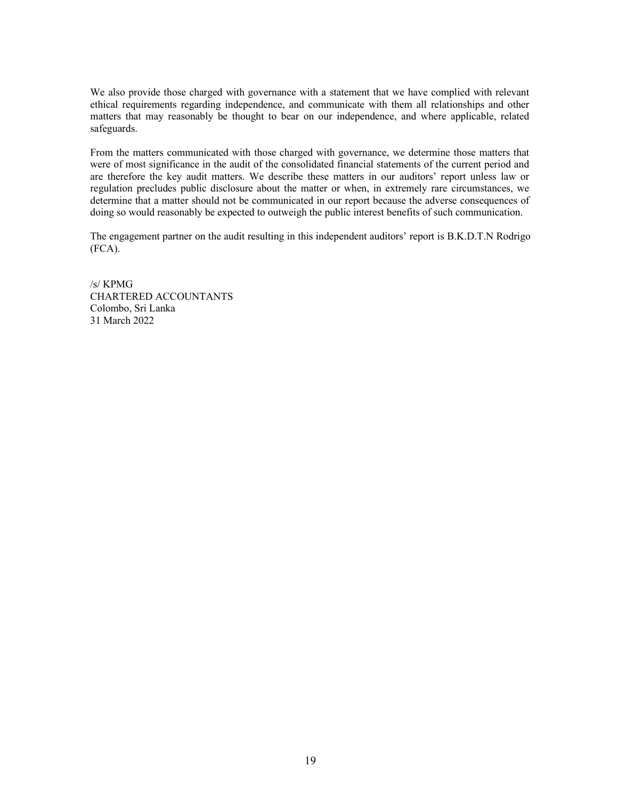We also provide those charged with governance with a statement that we have complied with relevant ethical requirements regarding independence, and communicate with them all relationships and other matters that may reasonably be thought to bear on our independence, and where applicable, related safeguards.

From the matters communicated with those charged with governance, we determine those matters that were of most significance in the audit of the consolidated financial statements of the current period and are therefore the key audit matters. We describe these matters in our auditors' report unless law or regulation precludes public disclosure about the matter or when, in extremely rare circumstances, we determine that a matter should not be communicated in our report because the adverse consequences of doing so would reasonably be expected to outweigh the public interest benefits of such communication.

The engagement partner on the audit resulting in this independent auditors' report is B.K.D.T.N Rodrigo (FCA).

/s/ KPMG CHARTERED ACCOUNTANTS Colombo, Sri Lanka 31 March 2022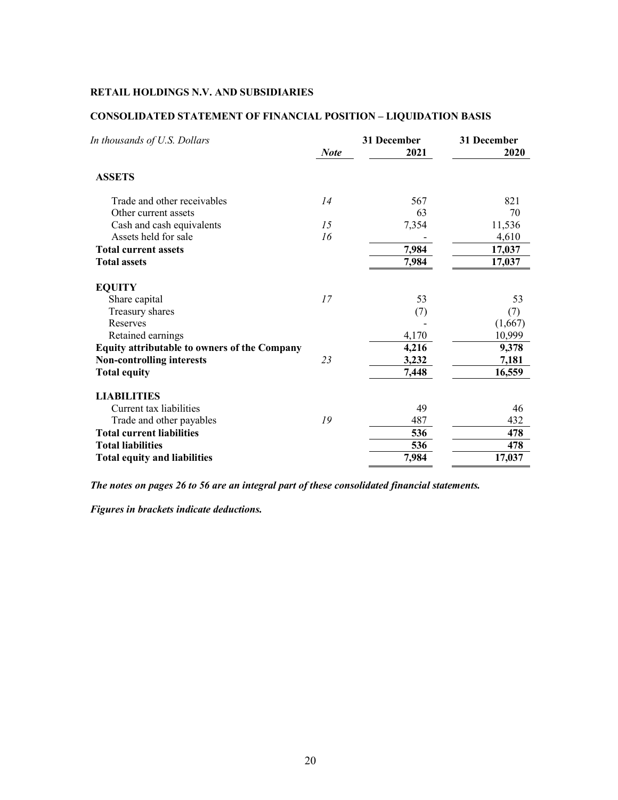| In thousands of U.S. Dollars                        | <b>Note</b> | 31 December<br>2021 | 31 December<br>2020 |
|-----------------------------------------------------|-------------|---------------------|---------------------|
| <b>ASSETS</b>                                       |             |                     |                     |
| Trade and other receivables                         | 14          | 567                 | 821                 |
| Other current assets                                |             | 63                  | 70                  |
| Cash and cash equivalents                           | 15          | 7,354               | 11,536              |
| Assets held for sale                                | 16          |                     | 4,610               |
| <b>Total current assets</b>                         |             | 7,984               | 17,037              |
| <b>Total assets</b>                                 |             | 7,984               | 17,037              |
| <b>EQUITY</b>                                       |             |                     |                     |
| Share capital                                       | 17          | 53                  | 53                  |
| Treasury shares                                     |             | (7)                 | (7)                 |
| Reserves                                            |             |                     | (1,667)             |
| Retained earnings                                   |             | 4,170               | 10,999              |
| <b>Equity attributable to owners of the Company</b> |             | 4,216               | 9,378               |
| <b>Non-controlling interests</b>                    | 23          | 3,232               | 7,181               |
| <b>Total equity</b>                                 |             | 7,448               | 16,559              |
| <b>LIABILITIES</b>                                  |             |                     |                     |
| Current tax liabilities                             |             | 49                  | 46                  |
| Trade and other payables                            | 19          | 487                 | 432                 |
| <b>Total current liabilities</b>                    |             | 536                 | 478                 |
| <b>Total liabilities</b>                            |             | 536                 | 478                 |
| <b>Total equity and liabilities</b>                 |             | 7,984               | 17,037              |
|                                                     |             |                     |                     |

# **CONSOLIDATED STATEMENT OF FINANCIAL POSITION – LIQUIDATION BASIS**

*The notes on pages 26 to 56 are an integral part of these consolidated financial statements.*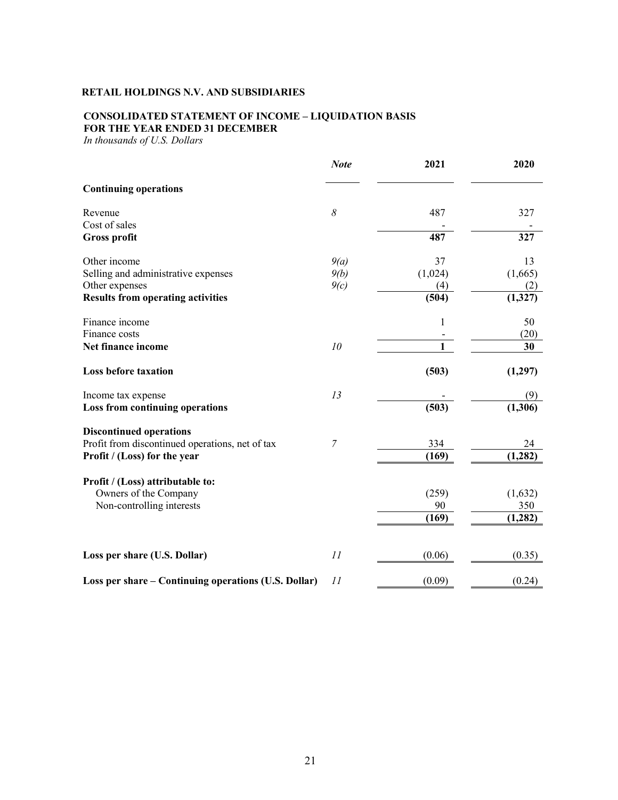# **CONSOLIDATED STATEMENT OF INCOME – LIQUIDATION BASIS FOR THE YEAR ENDED 31 DECEMBER**

*In thousands of U.S. Dollars*

|                                                      | <b>Note</b>    | 2021         | 2020     |
|------------------------------------------------------|----------------|--------------|----------|
| <b>Continuing operations</b>                         |                |              |          |
| Revenue                                              | 8              | 487          | 327      |
| Cost of sales                                        |                |              |          |
| <b>Gross profit</b>                                  |                | 487          | 327      |
| Other income                                         | 9(a)           | 37           | 13       |
| Selling and administrative expenses                  | 9(b)           | (1,024)      | (1,665)  |
| Other expenses                                       | 9(c)           | (4)          | (2)      |
| <b>Results from operating activities</b>             |                | (504)        | (1,327)  |
| Finance income                                       |                | $\mathbf{1}$ | 50       |
| Finance costs                                        |                |              | (20)     |
| Net finance income                                   | 10             | 1            | 30       |
| <b>Loss before taxation</b>                          |                | (503)        | (1,297)  |
| Income tax expense                                   | 13             |              | (9)      |
| <b>Loss from continuing operations</b>               |                | (503)        | (1,306)  |
| <b>Discontinued operations</b>                       |                |              |          |
| Profit from discontinued operations, net of tax      | $\overline{7}$ | 334          | 24       |
| Profit / (Loss) for the year                         |                | (169)        | (1, 282) |
| Profit / (Loss) attributable to:                     |                |              |          |
| Owners of the Company                                |                | (259)        | (1,632)  |
| Non-controlling interests                            |                | 90           | 350      |
|                                                      |                | (169)        | (1, 282) |
|                                                      |                |              |          |
| Loss per share (U.S. Dollar)                         | 11             | (0.06)       | (0.35)   |
| Loss per share – Continuing operations (U.S. Dollar) | 11             | (0.09)       | (0.24)   |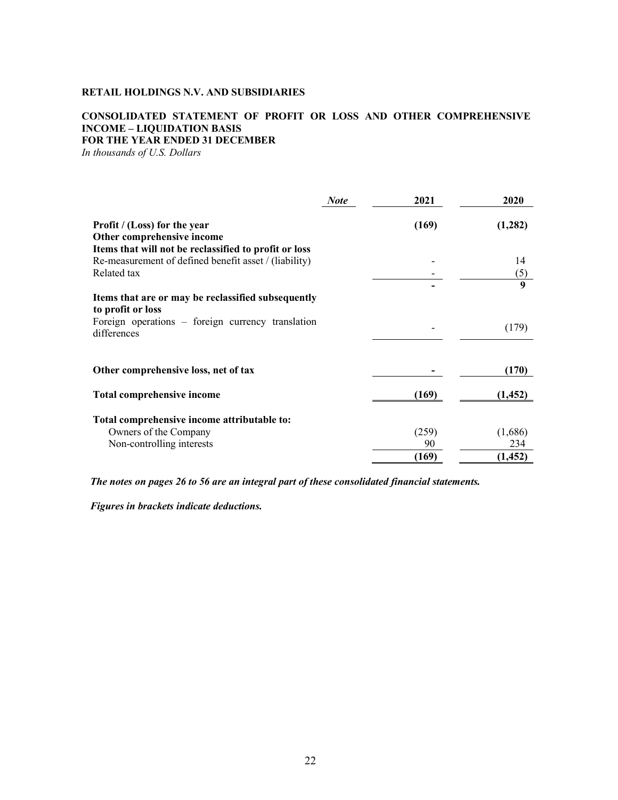# **CONSOLIDATED STATEMENT OF PROFIT OR LOSS AND OTHER COMPREHENSIVE INCOME – LIQUIDATION BASIS FOR THE YEAR ENDED 31 DECEMBER**

*In thousands of U.S. Dollars*

|                                                                         | <b>Note</b> | 2021  | 2020     |
|-------------------------------------------------------------------------|-------------|-------|----------|
| <b>Profit</b> / (Loss) for the year<br>Other comprehensive income       |             | (169) | (1,282)  |
| Items that will not be reclassified to profit or loss                   |             |       |          |
| Re-measurement of defined benefit asset / (liability)                   |             |       | 14       |
| Related tax                                                             |             |       | (5)      |
|                                                                         |             |       | 9        |
| Items that are or may be reclassified subsequently<br>to profit or loss |             |       |          |
| Foreign operations – foreign currency translation<br>differences        |             |       | (179)    |
| Other comprehensive loss, net of tax                                    |             |       | (170)    |
|                                                                         |             |       |          |
| Total comprehensive income                                              |             | (169) | (1, 452) |
| Total comprehensive income attributable to:                             |             |       |          |
| Owners of the Company                                                   |             | (259) | (1,686)  |
| Non-controlling interests                                               |             | 90    | 234      |
|                                                                         |             | (169) | (1, 452) |

*The notes on pages 26 to 56 are an integral part of these consolidated financial statements.*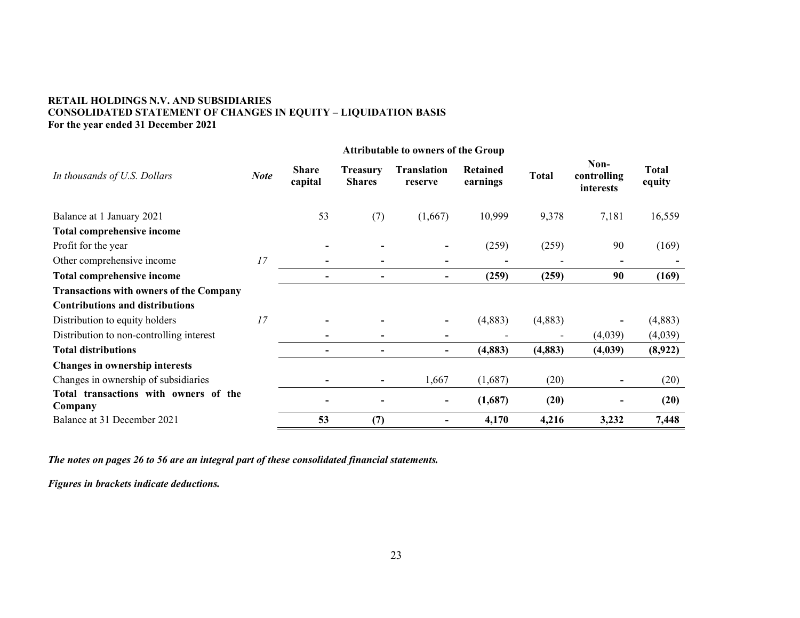# **RETAIL HOLDINGS N.V. AND SUBSIDIARIES CONSOLIDATED STATEMENT OF CHANGES IN EQUITY – LIQUIDATION BASIS For the year ended 31 December 2021**

| In thousands of U.S. Dollars                     | <b>Note</b> | <b>Share</b><br>capital  | <b>Treasury</b><br><b>Shares</b> | <b>Translation</b><br>reserve | Retained<br>earnings | <b>Total</b> | Non-<br>controlling<br>interests | <b>Total</b><br>equity |
|--------------------------------------------------|-------------|--------------------------|----------------------------------|-------------------------------|----------------------|--------------|----------------------------------|------------------------|
| Balance at 1 January 2021                        |             | 53                       | (7)                              | (1,667)                       | 10,999               | 9,378        | 7,181                            | 16,559                 |
| <b>Total comprehensive income</b>                |             |                          |                                  |                               |                      |              |                                  |                        |
| Profit for the year                              |             | $\overline{\phantom{a}}$ |                                  |                               | (259)                | (259)        | 90                               | (169)                  |
| Other comprehensive income                       | 17          | $\overline{\phantom{a}}$ | -                                | $\qquad \qquad \blacksquare$  |                      |              | $\overline{\phantom{0}}$         |                        |
| <b>Total comprehensive income</b>                |             | $\overline{\phantom{a}}$ | $\overline{\phantom{a}}$         | $\qquad \qquad$               | (259)                | (259)        | 90                               | (169)                  |
| <b>Transactions with owners of the Company</b>   |             |                          |                                  |                               |                      |              |                                  |                        |
| <b>Contributions and distributions</b>           |             |                          |                                  |                               |                      |              |                                  |                        |
| Distribution to equity holders                   | 17          | $\overline{\phantom{a}}$ |                                  |                               | (4,883)              | (4,883)      |                                  | (4,883)                |
| Distribution to non-controlling interest         |             |                          |                                  |                               |                      |              | (4,039)                          | (4,039)                |
| <b>Total distributions</b>                       |             | $\overline{\phantom{a}}$ | $\overline{\phantom{0}}$         | $\qquad \qquad$               | (4, 883)             | (4, 883)     | (4,039)                          | (8,922)                |
| Changes in ownership interests                   |             |                          |                                  |                               |                      |              |                                  |                        |
| Changes in ownership of subsidiaries             |             | $\overline{\phantom{a}}$ | $\overline{\phantom{a}}$         | 1,667                         | (1,687)              | (20)         |                                  | (20)                   |
| Total transactions with owners of the<br>Company |             |                          |                                  |                               | (1,687)              | (20)         |                                  | (20)                   |
| Balance at 31 December 2021                      |             | 53                       | (7)                              |                               | 4,170                | 4,216        | 3,232                            | 7,448                  |

*The notes on pages 26 to 56 are an integral part of these consolidated financial statements.*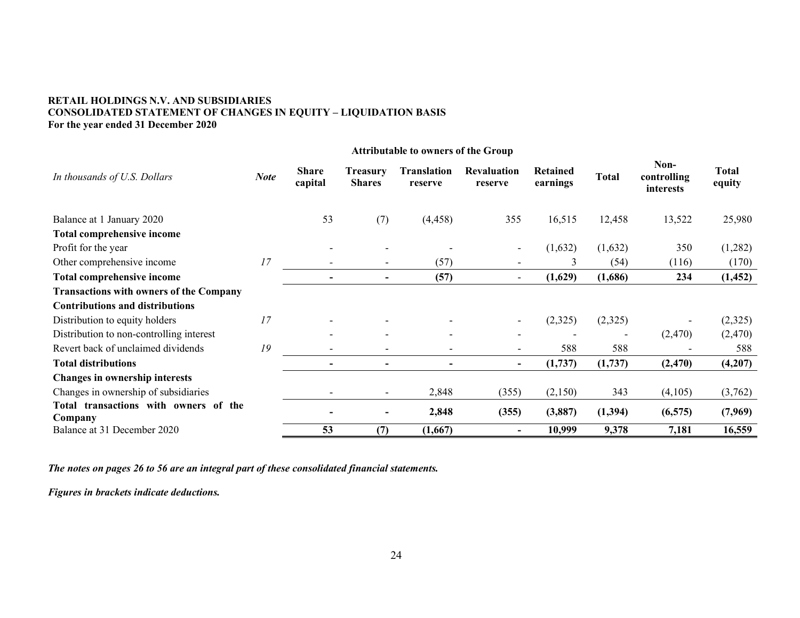# **RETAIL HOLDINGS N.V. AND SUBSIDIARIES CONSOLIDATED STATEMENT OF CHANGES IN EQUITY – LIQUIDATION BASIS For the year ended 31 December 2020**

|                                                  |             |                         |                                  | <b>Attributable to owners of the Group</b> |                               |                             |          |                                  |                        |
|--------------------------------------------------|-------------|-------------------------|----------------------------------|--------------------------------------------|-------------------------------|-----------------------------|----------|----------------------------------|------------------------|
| In thousands of U.S. Dollars                     | <b>Note</b> | <b>Share</b><br>capital | <b>Treasury</b><br><b>Shares</b> | <b>Translation</b><br>reserve              | <b>Revaluation</b><br>reserve | <b>Retained</b><br>earnings | Total    | Non-<br>controlling<br>interests | <b>Total</b><br>equity |
| Balance at 1 January 2020                        |             | 53                      | (7)                              | (4, 458)                                   | 355                           | 16,515                      | 12,458   | 13,522                           | 25,980                 |
| Total comprehensive income                       |             |                         |                                  |                                            |                               |                             |          |                                  |                        |
| Profit for the year                              |             |                         |                                  |                                            | $\blacksquare$                | (1,632)                     | (1,632)  | 350                              | (1,282)                |
| Other comprehensive income                       | 17          |                         | $\overline{\phantom{a}}$         | (57)                                       | $\overline{\phantom{a}}$      | 3                           | (54)     | (116)                            | (170)                  |
| <b>Total comprehensive income</b>                |             |                         | $\overline{\phantom{a}}$         | (57)                                       | $\overline{\phantom{a}}$      | (1,629)                     | (1,686)  | 234                              | (1, 452)               |
| <b>Transactions with owners of the Company</b>   |             |                         |                                  |                                            |                               |                             |          |                                  |                        |
| <b>Contributions and distributions</b>           |             |                         |                                  |                                            |                               |                             |          |                                  |                        |
| Distribution to equity holders                   | 17          |                         |                                  | $\overline{\phantom{a}}$                   | $\overline{\phantom{a}}$      | (2,325)                     | (2,325)  |                                  | (2,325)                |
| Distribution to non-controlling interest         |             |                         |                                  | $\overline{\phantom{a}}$                   |                               |                             |          | (2,470)                          | (2,470)                |
| Revert back of unclaimed dividends               | 19          |                         |                                  | $\overline{\phantom{a}}$                   |                               | 588                         | 588      |                                  | 588                    |
| <b>Total distributions</b>                       |             |                         | $\overline{\phantom{a}}$         | $\overline{\phantom{a}}$                   | $\overline{\phantom{a}}$      | (1,737)                     | (1,737)  | (2, 470)                         | (4,207)                |
| <b>Changes in ownership interests</b>            |             |                         |                                  |                                            |                               |                             |          |                                  |                        |
| Changes in ownership of subsidiaries             |             |                         | $\overline{\phantom{a}}$         | 2,848                                      | (355)                         | (2,150)                     | 343      | (4,105)                          | (3,762)                |
| Total transactions with owners of the<br>Company |             |                         |                                  | 2,848                                      | (355)                         | (3,887)                     | (1, 394) | (6, 575)                         | (7,969)                |
| Balance at 31 December 2020                      |             | 53                      | (7)                              | (1,667)                                    |                               | 10,999                      | 9,378    | 7,181                            | 16,559                 |

*The notes on pages 26 to 56 are an integral part of these consolidated financial statements.*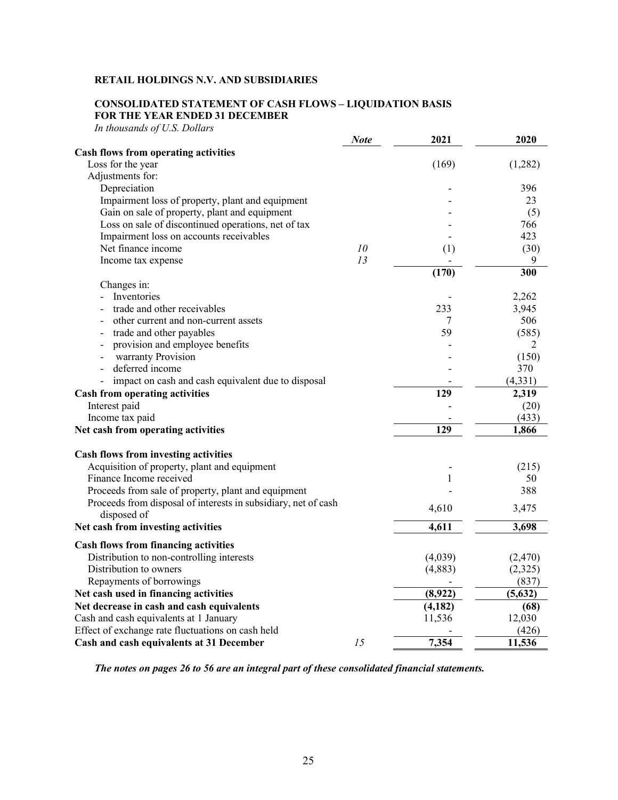# **CONSOLIDATED STATEMENT OF CASH FLOWS – LIQUIDATION BASIS FOR THE YEAR ENDED 31 DECEMBER**

*In thousands of U.S. Dollars*

|                                                                               | <b>Note</b> | 2021     | 2020     |
|-------------------------------------------------------------------------------|-------------|----------|----------|
| Cash flows from operating activities                                          |             |          |          |
| Loss for the year                                                             |             | (169)    | (1,282)  |
| Adjustments for:                                                              |             |          |          |
| Depreciation                                                                  |             |          | 396      |
| Impairment loss of property, plant and equipment                              |             |          | 23       |
| Gain on sale of property, plant and equipment                                 |             |          | (5)      |
| Loss on sale of discontinued operations, net of tax                           |             |          | 766      |
| Impairment loss on accounts receivables                                       |             |          | 423      |
| Net finance income                                                            | 10          | (1)      | (30)     |
| Income tax expense                                                            | 13          |          | 9        |
|                                                                               |             | (170)    | 300      |
| Changes in:                                                                   |             |          |          |
| Inventories                                                                   |             |          | 2,262    |
| trade and other receivables                                                   |             | 233      | 3,945    |
| other current and non-current assets                                          |             | 7        | 506      |
| trade and other payables                                                      |             | 59       | (585)    |
| provision and employee benefits                                               |             |          | 2        |
| warranty Provision                                                            |             |          | (150)    |
| deferred income                                                               |             |          | 370      |
| impact on cash and cash equivalent due to disposal                            |             |          | (4, 331) |
| <b>Cash from operating activities</b>                                         |             | 129      | 2,319    |
| Interest paid                                                                 |             |          | (20)     |
| Income tax paid                                                               |             |          | (433)    |
| Net cash from operating activities                                            |             | 129      | 1,866    |
| Cash flows from investing activities                                          |             |          |          |
| Acquisition of property, plant and equipment                                  |             |          | (215)    |
| Finance Income received                                                       |             | 1        | 50       |
| Proceeds from sale of property, plant and equipment                           |             |          | 388      |
| Proceeds from disposal of interests in subsidiary, net of cash<br>disposed of |             | 4,610    | 3,475    |
| Net cash from investing activities                                            |             | 4,611    | 3,698    |
| <b>Cash flows from financing activities</b>                                   |             |          |          |
| Distribution to non-controlling interests                                     |             | (4,039)  | (2,470)  |
| Distribution to owners                                                        |             | (4,883)  | (2,325)  |
| Repayments of borrowings                                                      |             |          | (837)    |
| Net cash used in financing activities                                         |             | (8,922)  | (5, 632) |
| Net decrease in cash and cash equivalents                                     |             | (4, 182) | (68)     |
| Cash and cash equivalents at 1 January                                        |             | 11,536   | 12,030   |
| Effect of exchange rate fluctuations on cash held                             |             |          | (426)    |
| Cash and cash equivalents at 31 December                                      | 15          | 7,354    | 11,536   |

*The notes on pages 26 to 56 are an integral part of these consolidated financial statements.*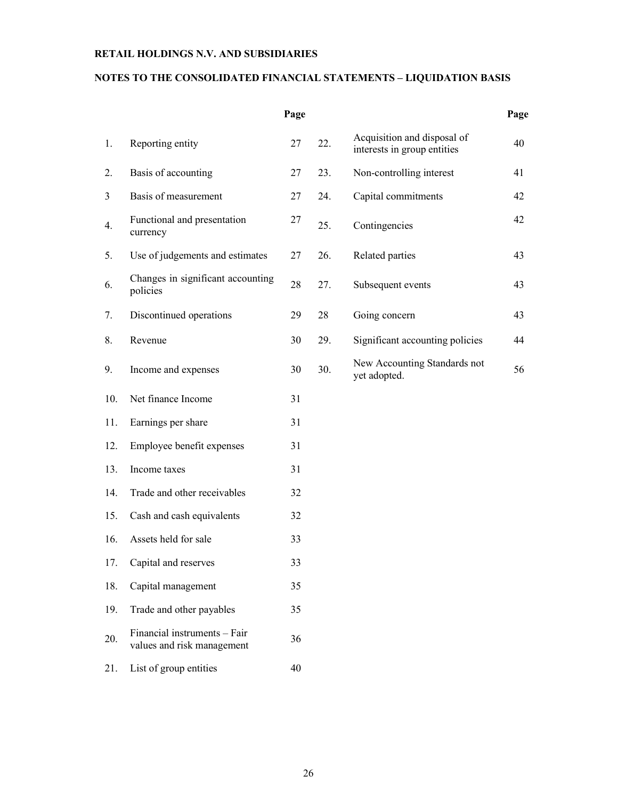# **NOTES TO THE CONSOLIDATED FINANCIAL STATEMENTS – LIQUIDATION BASIS**

|     |                                                            | Page |     |                                                            | Page |
|-----|------------------------------------------------------------|------|-----|------------------------------------------------------------|------|
| 1.  | Reporting entity                                           | 27   | 22. | Acquisition and disposal of<br>interests in group entities | 40   |
| 2.  | Basis of accounting                                        | 27   | 23. | Non-controlling interest                                   | 41   |
| 3   | Basis of measurement                                       | 27   | 24. | Capital commitments                                        | 42   |
| 4.  | Functional and presentation<br>currency                    | 27   | 25. | Contingencies                                              | 42   |
| 5.  | Use of judgements and estimates                            | 27   | 26. | Related parties                                            | 43   |
| 6.  | Changes in significant accounting<br>policies              | 28   | 27. | Subsequent events                                          | 43   |
| 7.  | Discontinued operations                                    | 29   | 28  | Going concern                                              | 43   |
| 8.  | Revenue                                                    | 30   | 29. | Significant accounting policies                            | 44   |
| 9.  | Income and expenses                                        | 30   | 30. | New Accounting Standards not<br>yet adopted.               | 56   |
| 10. | Net finance Income                                         | 31   |     |                                                            |      |
| 11. | Earnings per share                                         | 31   |     |                                                            |      |
| 12. | Employee benefit expenses                                  | 31   |     |                                                            |      |
| 13. | Income taxes                                               | 31   |     |                                                            |      |
| 14. | Trade and other receivables                                | 32   |     |                                                            |      |
| 15. | Cash and cash equivalents                                  | 32   |     |                                                            |      |
| 16. | Assets held for sale                                       | 33   |     |                                                            |      |
| 17. | Capital and reserves                                       | 33   |     |                                                            |      |
| 18. | Capital management                                         | 35   |     |                                                            |      |
| 19. | Trade and other payables                                   | 35   |     |                                                            |      |
| 20. | Financial instruments - Fair<br>values and risk management | 36   |     |                                                            |      |
| 21. | List of group entities                                     | 40   |     |                                                            |      |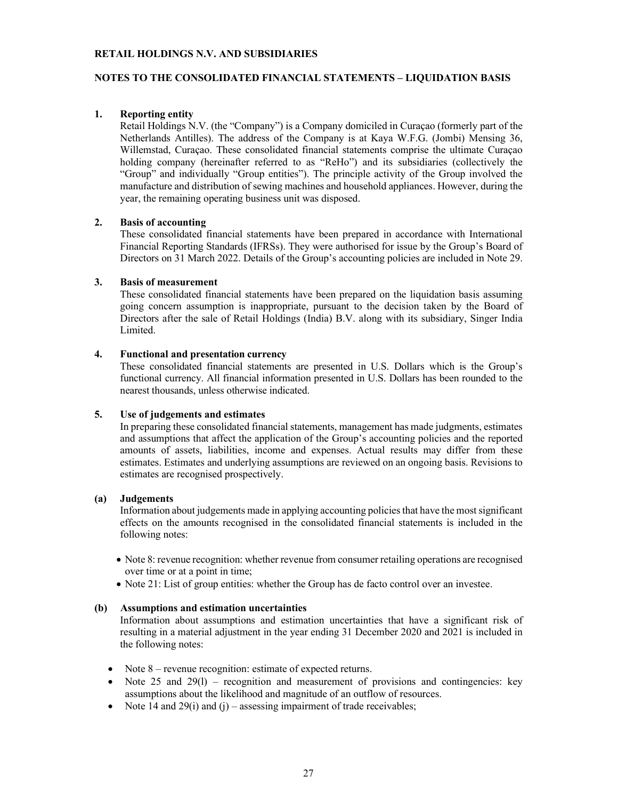# **NOTES TO THE CONSOLIDATED FINANCIAL STATEMENTS – LIQUIDATION BASIS**

# **1. Reporting entity**

Retail Holdings N.V. (the "Company") is a Company domiciled in Curaçao (formerly part of the Netherlands Antilles). The address of the Company is at Kaya W.F.G. (Jombi) Mensing 36, Willemstad, Curaçao. These consolidated financial statements comprise the ultimate Curaçao holding company (hereinafter referred to as "ReHo") and its subsidiaries (collectively the "Group" and individually "Group entities"). The principle activity of the Group involved the manufacture and distribution of sewing machines and household appliances. However, during the year, the remaining operating business unit was disposed.

# **2. Basis of accounting**

These consolidated financial statements have been prepared in accordance with International Financial Reporting Standards (IFRSs). They were authorised for issue by the Group's Board of Directors on 31 March 2022. Details of the Group's accounting policies are included in Note 29.

# **3. Basis of measurement**

These consolidated financial statements have been prepared on the liquidation basis assuming going concern assumption is inappropriate, pursuant to the decision taken by the Board of Directors after the sale of Retail Holdings (India) B.V. along with its subsidiary, Singer India Limited.

# **4. Functional and presentation currency**

These consolidated financial statements are presented in U.S. Dollars which is the Group's functional currency. All financial information presented in U.S. Dollars has been rounded to the nearest thousands, unless otherwise indicated.

# **5. Use of judgements and estimates**

In preparing these consolidated financial statements, management has made judgments, estimates and assumptions that affect the application of the Group's accounting policies and the reported amounts of assets, liabilities, income and expenses. Actual results may differ from these estimates. Estimates and underlying assumptions are reviewed on an ongoing basis. Revisions to estimates are recognised prospectively.

# **(a) Judgements**

Information about judgements made in applying accounting policies that have the most significant effects on the amounts recognised in the consolidated financial statements is included in the following notes:

- Note 8: revenue recognition: whether revenue from consumer retailing operations are recognised over time or at a point in time;
- Note 21: List of group entities: whether the Group has de facto control over an investee.

# **(b) Assumptions and estimation uncertainties**

Information about assumptions and estimation uncertainties that have a significant risk of resulting in a material adjustment in the year ending 31 December 2020 and 2021 is included in the following notes:

- Note 8 revenue recognition: estimate of expected returns.
- $\bullet$  Note 25 and 29(1) recognition and measurement of provisions and contingencies: key assumptions about the likelihood and magnitude of an outflow of resources.
- Note 14 and 29(i) and (j) assessing impairment of trade receivables;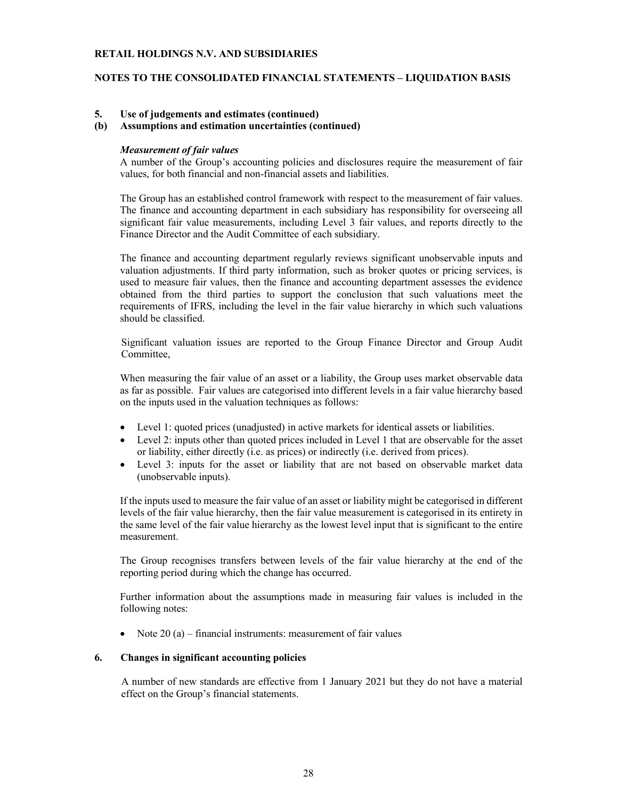# **NOTES TO THE CONSOLIDATED FINANCIAL STATEMENTS – LIQUIDATION BASIS**

### **5. Use of judgements and estimates (continued)**

# **(b) Assumptions and estimation uncertainties (continued)**

#### *Measurement of fair values*

A number of the Group's accounting policies and disclosures require the measurement of fair values, for both financial and non-financial assets and liabilities.

The Group has an established control framework with respect to the measurement of fair values. The finance and accounting department in each subsidiary has responsibility for overseeing all significant fair value measurements, including Level 3 fair values, and reports directly to the Finance Director and the Audit Committee of each subsidiary.

The finance and accounting department regularly reviews significant unobservable inputs and valuation adjustments. If third party information, such as broker quotes or pricing services, is used to measure fair values, then the finance and accounting department assesses the evidence obtained from the third parties to support the conclusion that such valuations meet the requirements of IFRS, including the level in the fair value hierarchy in which such valuations should be classified.

Significant valuation issues are reported to the Group Finance Director and Group Audit Committee,

When measuring the fair value of an asset or a liability, the Group uses market observable data as far as possible. Fair values are categorised into different levels in a fair value hierarchy based on the inputs used in the valuation techniques as follows:

- Level 1: quoted prices (unadjusted) in active markets for identical assets or liabilities.
- Level 2: inputs other than quoted prices included in Level 1 that are observable for the asset or liability, either directly (i.e. as prices) or indirectly (i.e. derived from prices).
- Level 3: inputs for the asset or liability that are not based on observable market data (unobservable inputs).

If the inputs used to measure the fair value of an asset or liability might be categorised in different levels of the fair value hierarchy, then the fair value measurement is categorised in its entirety in the same level of the fair value hierarchy as the lowest level input that is significant to the entire measurement.

The Group recognises transfers between levels of the fair value hierarchy at the end of the reporting period during which the change has occurred.

Further information about the assumptions made in measuring fair values is included in the following notes:

• Note  $20$  (a) – financial instruments: measurement of fair values

### **6. Changes in significant accounting policies**

A number of new standards are effective from 1 January 2021 but they do not have a material effect on the Group's financial statements.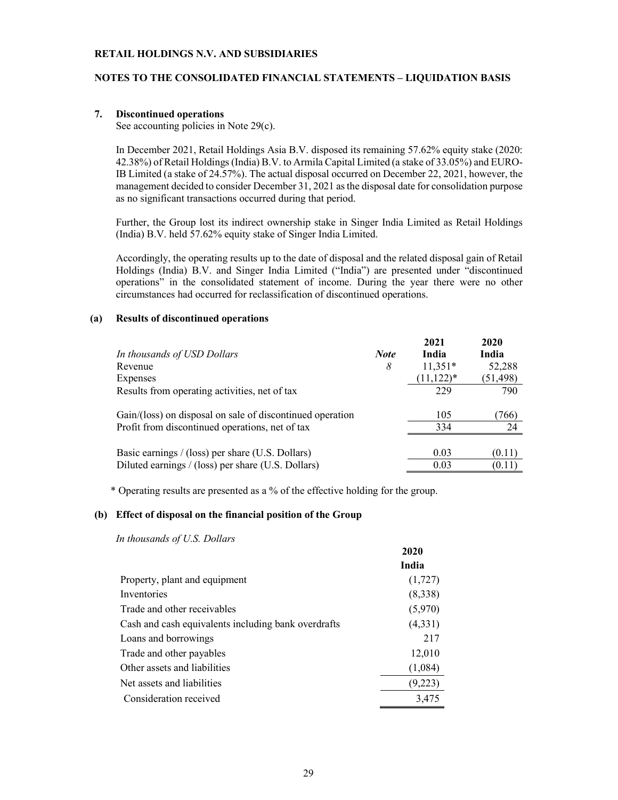# **NOTES TO THE CONSOLIDATED FINANCIAL STATEMENTS – LIQUIDATION BASIS**

### **7. Discontinued operations**

See accounting policies in Note 29(c).

In December 2021, Retail Holdings Asia B.V. disposed its remaining 57.62% equity stake (2020: 42.38%) of Retail Holdings (India) B.V. to Armila Capital Limited (a stake of 33.05%) and EURO-IB Limited (a stake of 24.57%). The actual disposal occurred on December 22, 2021, however, the management decided to consider December 31, 2021 as the disposal date for consolidation purpose as no significant transactions occurred during that period.

Further, the Group lost its indirect ownership stake in Singer India Limited as Retail Holdings (India) B.V. held 57.62% equity stake of Singer India Limited.

Accordingly, the operating results up to the date of disposal and the related disposal gain of Retail Holdings (India) B.V. and Singer India Limited ("India") are presented under "discontinued operations" in the consolidated statement of income. During the year there were no other circumstances had occurred for reclassification of discontinued operations.

#### **(a) Results of discontinued operations**

|                                                           |             | 2021          | 2020      |
|-----------------------------------------------------------|-------------|---------------|-----------|
| In thousands of USD Dollars                               | <b>Note</b> | India         | India     |
| Revenue                                                   | 8           | $11,351*$     | 52,288    |
| Expenses                                                  |             | $(11, 122)^*$ | (51, 498) |
| Results from operating activities, net of tax             |             | 229           | 790       |
| Gain/(loss) on disposal on sale of discontinued operation |             | 105           | 766)      |
| Profit from discontinued operations, net of tax           |             | 334           | 24        |
| Basic earnings / (loss) per share (U.S. Dollars)          |             | 0.03          | (0.11)    |
| Diluted earnings / (loss) per share (U.S. Dollars)        |             | 0.03          | (0.11)    |

\* Operating results are presented as a % of the effective holding for the group.

#### **(b) Effect of disposal on the financial position of the Group**

*In thousands of U.S. Dollars*

|                                                     | 2020    |
|-----------------------------------------------------|---------|
|                                                     | India   |
| Property, plant and equipment                       | (1,727) |
| Inventories                                         | (8,338) |
| Trade and other receivables                         | (5,970) |
| Cash and cash equivalents including bank overdrafts | (4,331) |
| Loans and borrowings                                | 217     |
| Trade and other payables                            | 12,010  |
| Other assets and liabilities                        | (1,084) |
| Net assets and liabilities                          | (9,223) |
| Consideration received                              | 3,475   |
|                                                     |         |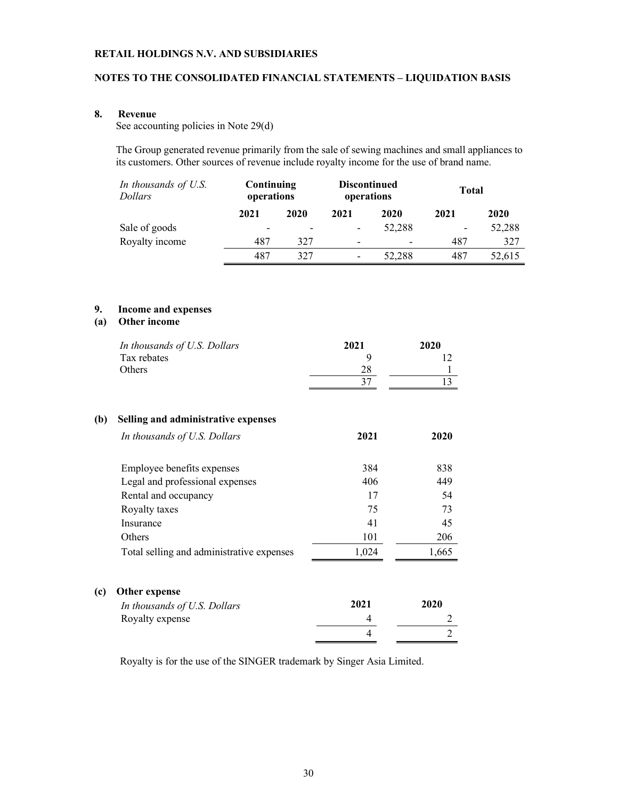# **NOTES TO THE CONSOLIDATED FINANCIAL STATEMENTS – LIQUIDATION BASIS**

# **8. Revenue**

See accounting policies in Note 29(d)

The Group generated revenue primarily from the sale of sewing machines and small appliances to its customers. Other sources of revenue include royalty income for the use of brand name.

| In thousands of U.S.<br><i>Dollars</i> | Continuing<br>operations |                          | <b>Discontinued</b><br>operations |        | <b>Total</b> |        |
|----------------------------------------|--------------------------|--------------------------|-----------------------------------|--------|--------------|--------|
|                                        | 2021                     | 2020                     | 2021                              | 2020   | 2021         | 2020   |
| Sale of goods                          | -                        | $\overline{\phantom{0}}$ |                                   | 52,288 |              | 52,288 |
| Royalty income                         | 487                      | 327                      | $\overline{\phantom{a}}$          |        | 487          | 327    |
|                                        | 487                      | 327                      | $\overline{\phantom{a}}$          | 52,288 | 487          | 52,615 |

# **9. Income and expenses**

# **(a) Other income**

|     | In thousands of U.S. Dollars<br>Tax rebates<br>Others | 2021<br>9<br>28<br>37 | 2020<br>12<br>1<br>13 |
|-----|-------------------------------------------------------|-----------------------|-----------------------|
| (b) | Selling and administrative expenses                   |                       |                       |
|     | In thousands of U.S. Dollars                          | 2021                  | 2020                  |
|     | Employee benefits expenses                            | 384                   | 838                   |
|     | Legal and professional expenses                       | 406                   | 449                   |
|     | Rental and occupancy                                  | 17                    | 54                    |
|     | Royalty taxes                                         | 75                    | 73                    |
|     | Insurance                                             | 41                    | 45                    |
|     | Others                                                | 101                   | 206                   |
|     | Total selling and administrative expenses             | 1,024                 | 1,665                 |
| (c) | Other expense                                         |                       |                       |
|     | In thousands of U.S. Dollars                          | 2021                  | 2020                  |
|     | Royalty expense                                       | 4                     | 2                     |
|     |                                                       | 4                     | $\overline{2}$        |

Royalty is for the use of the SINGER trademark by Singer Asia Limited.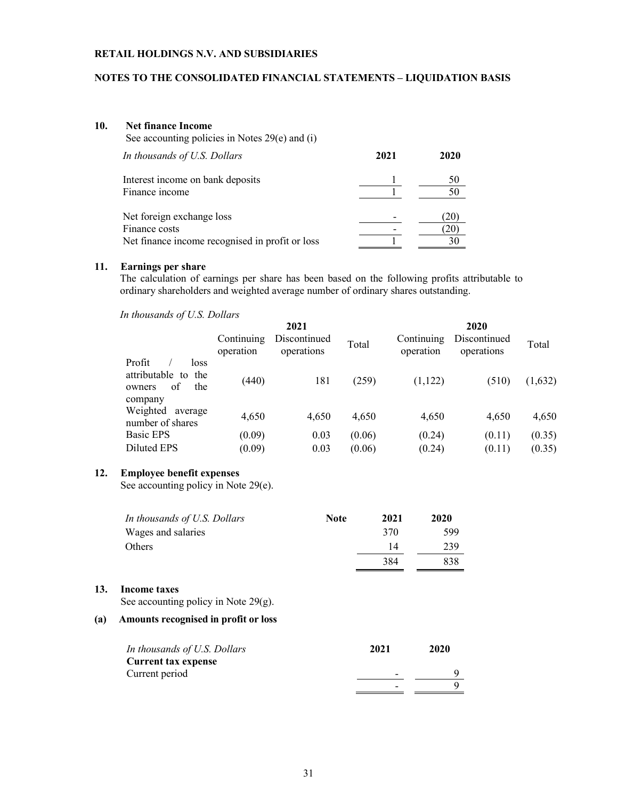# **NOTES TO THE CONSOLIDATED FINANCIAL STATEMENTS – LIQUIDATION BASIS**

#### **10. Net finance Income** See accounting policies in Notes 29(e) and (i)

| In thousands of U.S. Dollars                    | 2021 | 2020 |
|-------------------------------------------------|------|------|
| Interest income on bank deposits                |      | 50   |
| Finance income                                  |      | 50   |
| Net foreign exchange loss                       |      |      |
| Finance costs                                   |      |      |
| Net finance income recognised in profit or loss |      |      |

# **11. Earnings per share**

The calculation of earnings per share has been based on the following profits attributable to ordinary shareholders and weighted average number of ordinary shares outstanding.

*In thousands of U.S. Dollars*

|                                                                          |                         | 2021                       |        |                         | 2020                       |         |
|--------------------------------------------------------------------------|-------------------------|----------------------------|--------|-------------------------|----------------------------|---------|
|                                                                          | Continuing<br>operation | Discontinued<br>operations | Total  | Continuing<br>operation | Discontinued<br>operations | Total   |
| Profit<br>loss<br>attributable to the<br>the<br>of.<br>owners<br>company | (440)                   | 181                        | (259)  | (1,122)                 | (510)                      | (1,632) |
| Weighted<br>average<br>number of shares                                  | 4,650                   | 4,650                      | 4,650  | 4,650                   | 4,650                      | 4,650   |
| Basic EPS                                                                | (0.09)                  | 0.03                       | (0.06) | (0.24)                  | (0.11)                     | (0.35)  |
| Diluted EPS                                                              | (0.09)                  | 0.03                       | (0.06) | (0.24)                  | (0.11)                     | (0.35)  |
|                                                                          |                         |                            |        |                         |                            |         |

# **12. Employee benefit expenses**

See accounting policy in Note 29(e).

| In thousands of U.S. Dollars | <b>Note</b> | 2021 | 2020 |
|------------------------------|-------------|------|------|
| Wages and salaries           |             | 370  | 599  |
| Others                       |             | 14   | 239  |
|                              |             | 384  | 838  |

### **13. Income taxes**

See accounting policy in Note 29(g).

# **(a) Amounts recognised in profit or loss**

| In thousands of U.S. Dollars | 2021 | 2020 |
|------------------------------|------|------|
| Current tax expense          |      |      |
| Current period               |      |      |
|                              |      |      |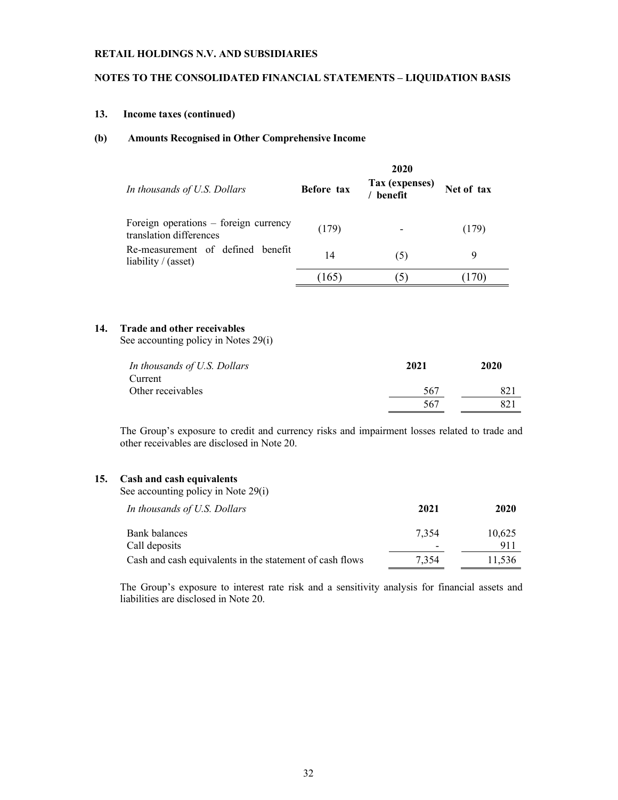# **NOTES TO THE CONSOLIDATED FINANCIAL STATEMENTS – LIQUIDATION BASIS**

# **13. Income taxes (continued)**

### **(b) Amounts Recognised in Other Comprehensive Income**

| In thousands of U.S. Dollars                                     | <b>Before tax</b> | 2020<br>Tax (expenses)<br>benefit | Net of tax |
|------------------------------------------------------------------|-------------------|-----------------------------------|------------|
| Foreign operations – foreign currency<br>translation differences | (179)             |                                   | (179)      |
| Re-measurement of defined benefit<br>liability $/$ (asset)       | 14                | .5)                               |            |
|                                                                  | 165)              |                                   | 170)       |

# **14. Trade and other receivables**

See accounting policy in Notes 29(i)

| In thousands of U.S. Dollars | 2021 | 2020 |
|------------------------------|------|------|
| Current                      |      |      |
| Other receivables            | 567  | 82   |
|                              | 567  | 821  |

The Group's exposure to credit and currency risks and impairment losses related to trade and other receivables are disclosed in Note 20.

# **15. Cash and cash equivalents**

See accounting policy in Note 29(i)

| In thousands of U.S. Dollars                             | 2021  | 2020   |
|----------------------------------------------------------|-------|--------|
| Bank balances                                            | 7.354 | 10,625 |
| Call deposits                                            |       | 911    |
| Cash and cash equivalents in the statement of cash flows | 7.354 | 11.536 |

The Group's exposure to interest rate risk and a sensitivity analysis for financial assets and liabilities are disclosed in Note 20.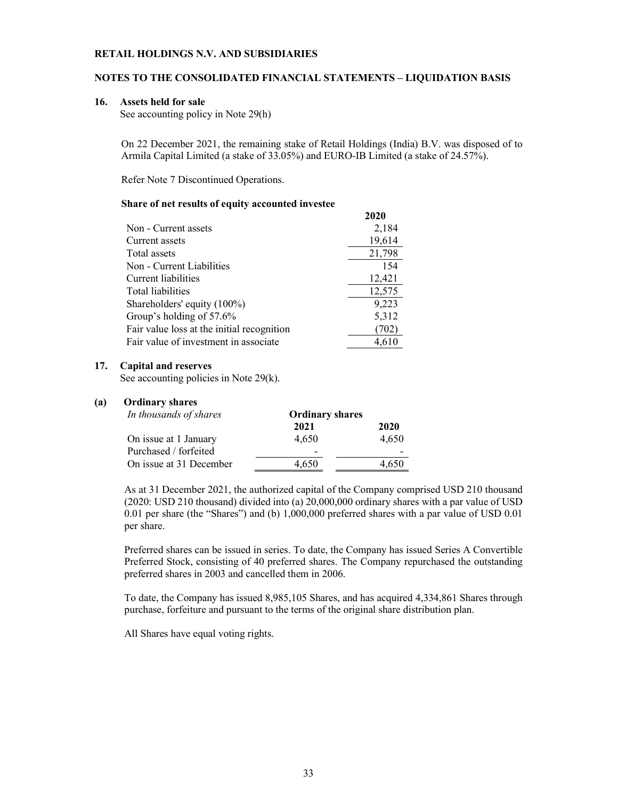# **NOTES TO THE CONSOLIDATED FINANCIAL STATEMENTS – LIQUIDATION BASIS**

#### **16. Assets held for sale**

See accounting policy in Note 29(h)

On 22 December 2021, the remaining stake of Retail Holdings (India) B.V. was disposed of to Armila Capital Limited (a stake of 33.05%) and EURO-IB Limited (a stake of 24.57%).

Refer Note 7 Discontinued Operations.

#### **Share of net results of equity accounted investee**

|                                            | 2020   |
|--------------------------------------------|--------|
| Non - Current assets                       | 2,184  |
| Current assets                             | 19,614 |
| Total assets                               | 21,798 |
| Non - Current Liabilities                  | 154    |
| Current liabilities                        | 12,421 |
| Total liabilities                          | 12,575 |
| Shareholders' equity (100%)                | 9,223  |
| Group's holding of 57.6%                   | 5,312  |
| Fair value loss at the initial recognition | (702)  |
| Fair value of investment in associate      | 4,610  |

### **17. Capital and reserves**

See accounting policies in Note 29(k).

### **(a) Ordinary shares**

| In thousands of shares  | <b>Ordinary shares</b>   |       |
|-------------------------|--------------------------|-------|
|                         | 2021                     | 2020  |
| On issue at 1 January   | 4.650                    | 4.650 |
| Purchased / forfeited   | $\overline{\phantom{0}}$ |       |
| On issue at 31 December | 4,650                    | 4.650 |

As at 31 December 2021, the authorized capital of the Company comprised USD 210 thousand (2020: USD 210 thousand) divided into (a) 20,000,000 ordinary shares with a par value of USD 0.01 per share (the "Shares") and (b) 1,000,000 preferred shares with a par value of USD 0.01 per share.

Preferred shares can be issued in series. To date, the Company has issued Series A Convertible Preferred Stock, consisting of 40 preferred shares. The Company repurchased the outstanding preferred shares in 2003 and cancelled them in 2006.

To date, the Company has issued 8,985,105 Shares, and has acquired 4,334,861 Shares through purchase, forfeiture and pursuant to the terms of the original share distribution plan.

All Shares have equal voting rights.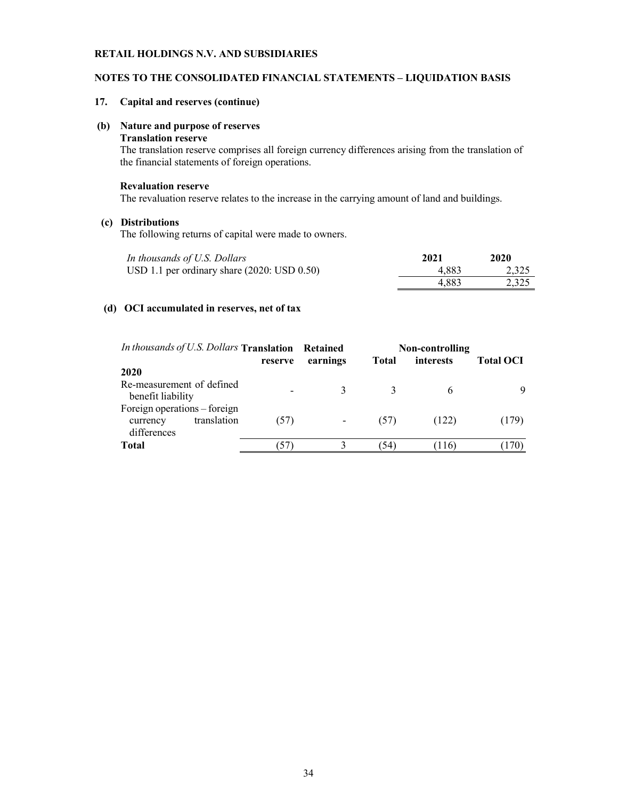# **NOTES TO THE CONSOLIDATED FINANCIAL STATEMENTS – LIQUIDATION BASIS**

# **17. Capital and reserves (continue)**

# **(b) Nature and purpose of reserves**

### **Translation reserve**

The translation reserve comprises all foreign currency differences arising from the translation of the financial statements of foreign operations.

# **Revaluation reserve**

The revaluation reserve relates to the increase in the carrying amount of land and buildings.

# **(c) Distributions**

The following returns of capital were made to owners.

| In thousands of U.S. Dollars                    | 2021  | 2020  |
|-------------------------------------------------|-------|-------|
| USD 1.1 per ordinary share $(2020:$ USD $0.50)$ | 4.883 | 2.325 |
|                                                 | 4.883 | 2.325 |

# **(d) OCI accumulated in reserves, net of tax**

| In thousands of U.S. Dollars Translation Retained       |             |         |          |              | Non-controlling |                  |
|---------------------------------------------------------|-------------|---------|----------|--------------|-----------------|------------------|
|                                                         |             | reserve | earnings | <b>Total</b> | interests       | <b>Total OCI</b> |
| 2020                                                    |             |         |          |              |                 |                  |
| Re-measurement of defined<br>benefit liability          |             |         |          |              |                 | 9                |
| Foreign operations – foreign<br>currency<br>differences | translation | (57)    | -        | (57)         | (122)           | (179)            |
| <b>Total</b>                                            |             | ر د     |          | 54           | 116)            |                  |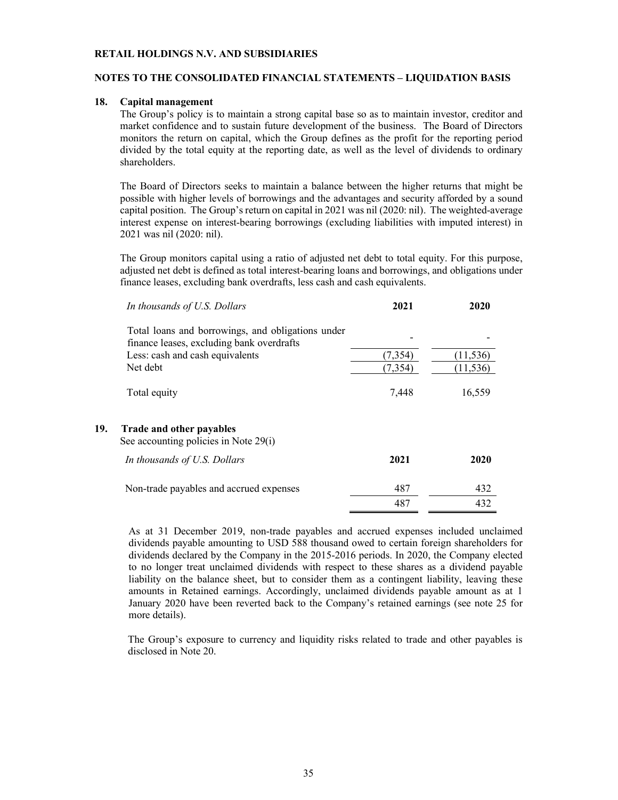# **NOTES TO THE CONSOLIDATED FINANCIAL STATEMENTS – LIQUIDATION BASIS**

#### **18. Capital management**

The Group's policy is to maintain a strong capital base so as to maintain investor, creditor and market confidence and to sustain future development of the business. The Board of Directors monitors the return on capital, which the Group defines as the profit for the reporting period divided by the total equity at the reporting date, as well as the level of dividends to ordinary shareholders.

The Board of Directors seeks to maintain a balance between the higher returns that might be possible with higher levels of borrowings and the advantages and security afforded by a sound capital position. The Group's return on capital in 2021 was nil (2020: nil). The weighted-average interest expense on interest-bearing borrowings (excluding liabilities with imputed interest) in 2021 was nil (2020: nil).

The Group monitors capital using a ratio of adjusted net debt to total equity. For this purpose, adjusted net debt is defined as total interest-bearing loans and borrowings, and obligations under finance leases, excluding bank overdrafts, less cash and cash equivalents.

|     | In thousands of U.S. Dollars                      | 2021     | 2020      |
|-----|---------------------------------------------------|----------|-----------|
|     | Total loans and borrowings, and obligations under |          |           |
|     | finance leases, excluding bank overdrafts         |          |           |
|     | Less: cash and cash equivalents                   | (7, 354) | (11, 536) |
|     | Net debt                                          | (7, 354) | (11, 536) |
| 19. | Total equity<br>Trade and other payables          | 7,448    | 16,559    |
|     | See accounting policies in Note 29(i)             |          |           |
|     | In thousands of U.S. Dollars                      | 2021     | 2020      |
|     | Non-trade payables and accrued expenses           | 487      | 432       |

As at 31 December 2019, non-trade payables and accrued expenses included unclaimed dividends payable amounting to USD 588 thousand owed to certain foreign shareholders for dividends declared by the Company in the 2015-2016 periods. In 2020, the Company elected to no longer treat unclaimed dividends with respect to these shares as a dividend payable liability on the balance sheet, but to consider them as a contingent liability, leaving these amounts in Retained earnings. Accordingly, unclaimed dividends payable amount as at 1 January 2020 have been reverted back to the Company's retained earnings (see note 25 for more details).

487 432

The Group's exposure to currency and liquidity risks related to trade and other payables is disclosed in Note 20.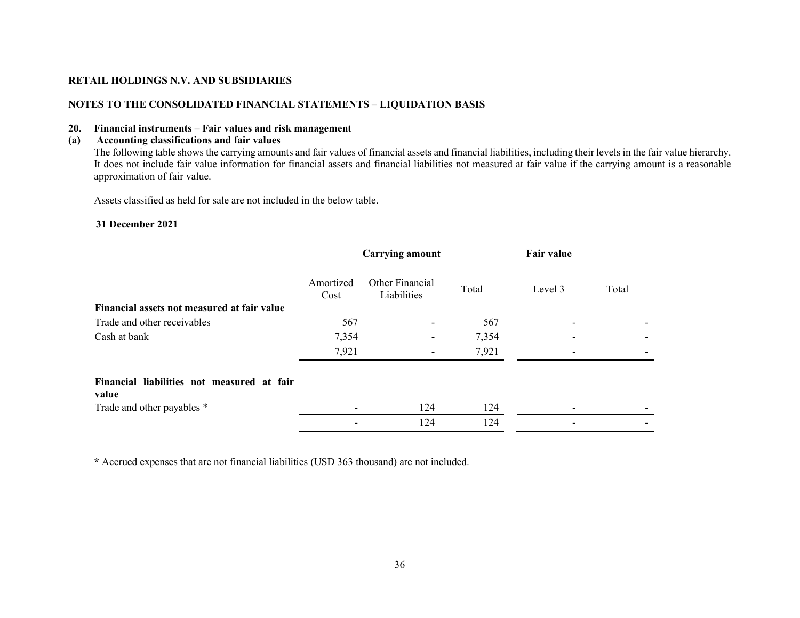# **NOTES TO THE CONSOLIDATED FINANCIAL STATEMENTS – LIQUIDATION BASIS**

# **20. Financial instruments – Fair values and risk management**

# **(a) Accounting classifications and fair values**

The following table shows the carrying amounts and fair values of financial assets and financial liabilities, including their levels in the fair value hierarchy. It does not include fair value information for financial assets and financial liabilities not measured at fair value if the carrying amount is a reasonable approximation of fair value.

Assets classified as held for sale are not included in the below table.

### **31 December 2021**

|                                                     | <b>Carrying amount</b> |                                | <b>Fair value</b> |         |       |
|-----------------------------------------------------|------------------------|--------------------------------|-------------------|---------|-------|
|                                                     | Amortized<br>Cost      | Other Financial<br>Liabilities | Total             | Level 3 | Total |
| Financial assets not measured at fair value         |                        |                                |                   |         |       |
| Trade and other receivables                         | 567                    |                                | 567               |         |       |
| Cash at bank                                        | 7,354                  |                                | 7,354             |         |       |
|                                                     | 7,921                  |                                | 7,921             |         |       |
| Financial liabilities not measured at fair<br>value |                        |                                |                   |         |       |
| Trade and other payables *                          |                        | 124                            | 124               |         |       |
|                                                     |                        | 124                            | 124               |         |       |

**\*** Accrued expenses that are not financial liabilities (USD 363 thousand) are not included.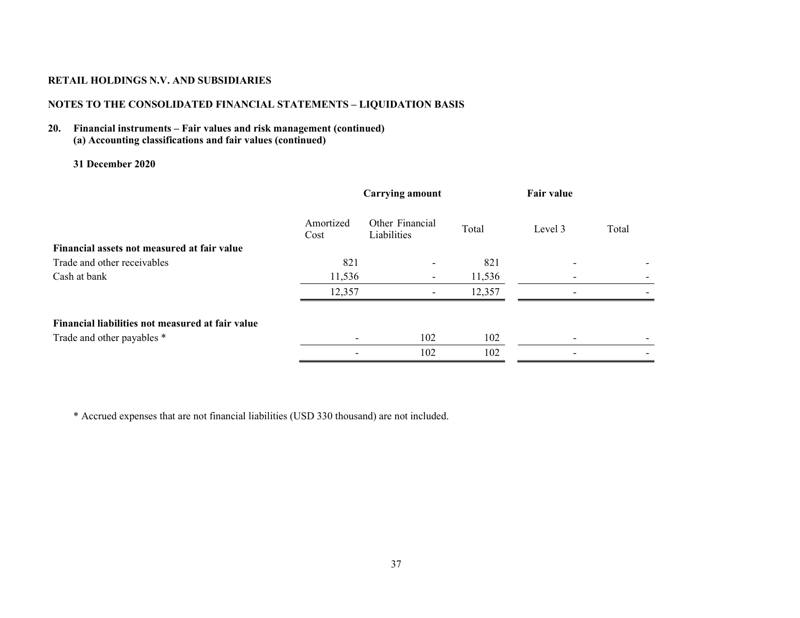# **NOTES TO THE CONSOLIDATED FINANCIAL STATEMENTS – LIQUIDATION BASIS**

# **20. Financial instruments – Fair values and risk management (continued) (a) Accounting classifications and fair values (continued)**

# **31 December 2020**

|                                                  | <b>Carrying amount</b> |                                | Fair value |         |       |
|--------------------------------------------------|------------------------|--------------------------------|------------|---------|-------|
|                                                  | Amortized<br>Cost      | Other Financial<br>Liabilities | Total      | Level 3 | Total |
| Financial assets not measured at fair value      |                        |                                |            |         |       |
| Trade and other receivables                      | 821                    | $\overline{\phantom{a}}$       | 821        |         |       |
| Cash at bank                                     | 11,536                 | ۰.                             | 11,536     |         |       |
|                                                  | 12,357                 |                                | 12,357     |         |       |
| Financial liabilities not measured at fair value |                        |                                |            |         |       |
| Trade and other payables *                       |                        | 102                            | 102        |         |       |
|                                                  |                        | 102                            | 102        |         |       |

\* Accrued expenses that are not financial liabilities (USD 330 thousand) are not included.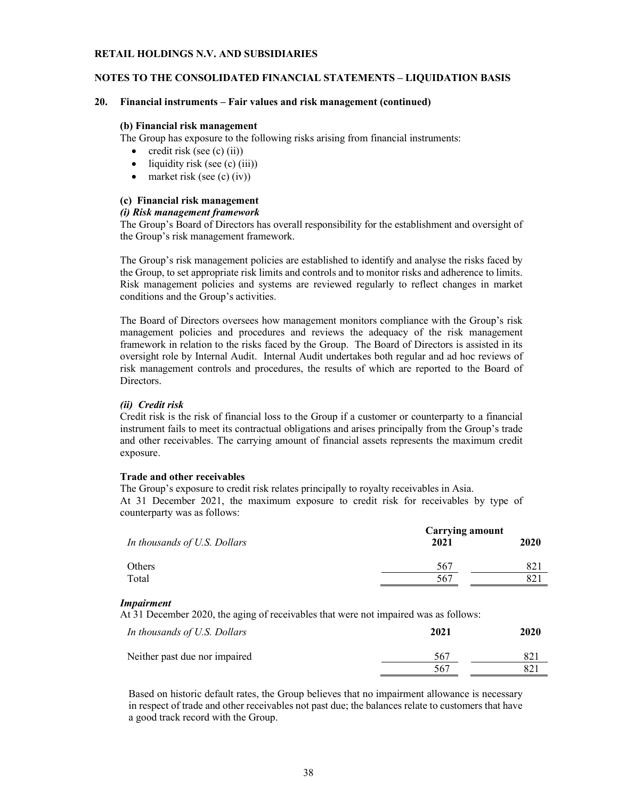# **NOTES TO THE CONSOLIDATED FINANCIAL STATEMENTS – LIQUIDATION BASIS**

### **20. Financial instruments – Fair values and risk management (continued)**

### **(b) Financial risk management**

The Group has exposure to the following risks arising from financial instruments:

- $\bullet$  credit risk (see (c) (ii))
- $\bullet$  liquidity risk (see (c) (iii))
- $\bullet$  market risk (see (c) (iv))

# **(c) Financial risk management**

# *(i) Risk management framework*

The Group's Board of Directors has overall responsibility for the establishment and oversight of the Group's risk management framework.

The Group's risk management policies are established to identify and analyse the risks faced by the Group, to set appropriate risk limits and controls and to monitor risks and adherence to limits. Risk management policies and systems are reviewed regularly to reflect changes in market conditions and the Group's activities.

The Board of Directors oversees how management monitors compliance with the Group's risk management policies and procedures and reviews the adequacy of the risk management framework in relation to the risks faced by the Group. The Board of Directors is assisted in its oversight role by Internal Audit. Internal Audit undertakes both regular and ad hoc reviews of risk management controls and procedures, the results of which are reported to the Board of Directors.

# *(ii) Credit risk*

Credit risk is the risk of financial loss to the Group if a customer or counterparty to a financial instrument fails to meet its contractual obligations and arises principally from the Group's trade and other receivables. The carrying amount of financial assets represents the maximum credit exposure.

# **Trade and other receivables**

The Group's exposure to credit risk relates principally to royalty receivables in Asia. At 31 December 2021, the maximum exposure to credit risk for receivables by type of counterparty was as follows:

|                              | Carrying amount |      |  |
|------------------------------|-----------------|------|--|
| In thousands of U.S. Dollars | 2021            | 2020 |  |
| Others                       | 567             |      |  |
| Total                        | 567             |      |  |

# *Impairment*

At 31 December 2020, the aging of receivables that were not impaired was as follows:

| In thousands of U.S. Dollars  | 2021 | 2020 |
|-------------------------------|------|------|
| Neither past due nor impaired | -567 | 821  |
|                               | 567  | 821  |

Based on historic default rates, the Group believes that no impairment allowance is necessary in respect of trade and other receivables not past due; the balances relate to customers that have a good track record with the Group.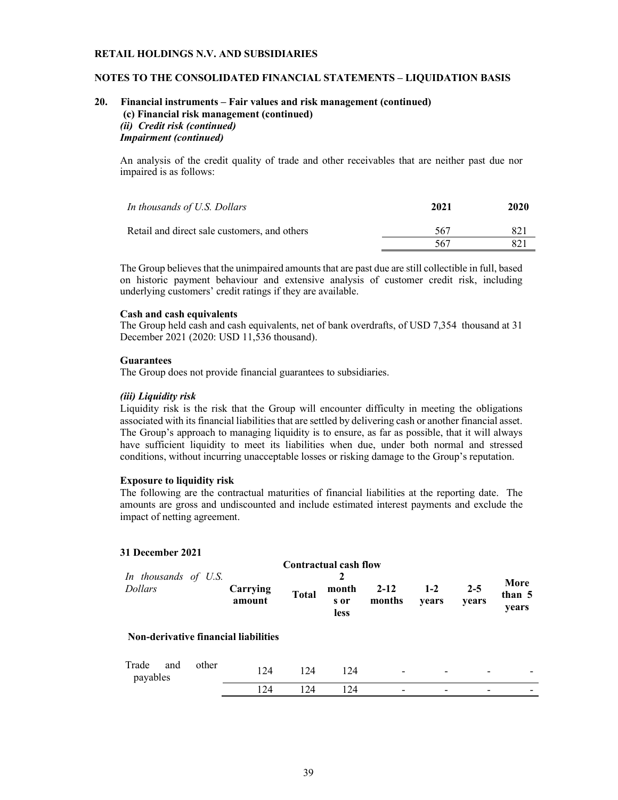# **NOTES TO THE CONSOLIDATED FINANCIAL STATEMENTS – LIQUIDATION BASIS**

# **20. Financial instruments – Fair values and risk management (continued) (c) Financial risk management (continued)** *(ii) Credit risk (continued) Impairment (continued)*

An analysis of the credit quality of trade and other receivables that are neither past due nor impaired is as follows:

| In thousands of U.S. Dollars                 | 2021 | 2020 |
|----------------------------------------------|------|------|
| Retail and direct sale customers, and others | 567  | 821  |
|                                              | 567  | 821  |

The Group believes that the unimpaired amounts that are past due are still collectible in full, based on historic payment behaviour and extensive analysis of customer credit risk, including underlying customers' credit ratings if they are available.

#### **Cash and cash equivalents**

The Group held cash and cash equivalents, net of bank overdrafts, of USD 7,354 thousand at 31 December 2021 (2020: USD 11,536 thousand).

### **Guarantees**

The Group does not provide financial guarantees to subsidiaries.

# *(iii) Liquidity risk*

Liquidity risk is the risk that the Group will encounter difficulty in meeting the obligations associated with its financial liabilities that are settled by delivering cash or another financial asset. The Group's approach to managing liquidity is to ensure, as far as possible, that it will always have sufficient liquidity to meet its liabilities when due, under both normal and stressed conditions, without incurring unacceptable losses or risking damage to the Group's reputation.

### **Exposure to liquidity risk**

The following are the contractual maturities of financial liabilities at the reporting date. The amounts are gross and undiscounted and include estimated interest payments and exclude the impact of netting agreement.

# **31 December 2021**

| In thousands of U.S.<br><b>Dollars</b>      |       | Carrying<br>amount | <b>Total</b> | <b>Contractual cash flow</b><br>2<br>month<br>s or<br><b>less</b> | $2 - 12$<br>months       | $1-2$<br>vears | $2 - 5$<br>years | More<br>than 5<br>years |
|---------------------------------------------|-------|--------------------|--------------|-------------------------------------------------------------------|--------------------------|----------------|------------------|-------------------------|
| <b>Non-derivative financial liabilities</b> |       |                    |              |                                                                   |                          |                |                  |                         |
| Trade<br>and<br>payables                    | other | 124                | 124          | 124                                                               | $\overline{\phantom{a}}$ |                |                  |                         |
|                                             |       | 124                | 124          | 124                                                               | $\overline{\phantom{0}}$ |                |                  |                         |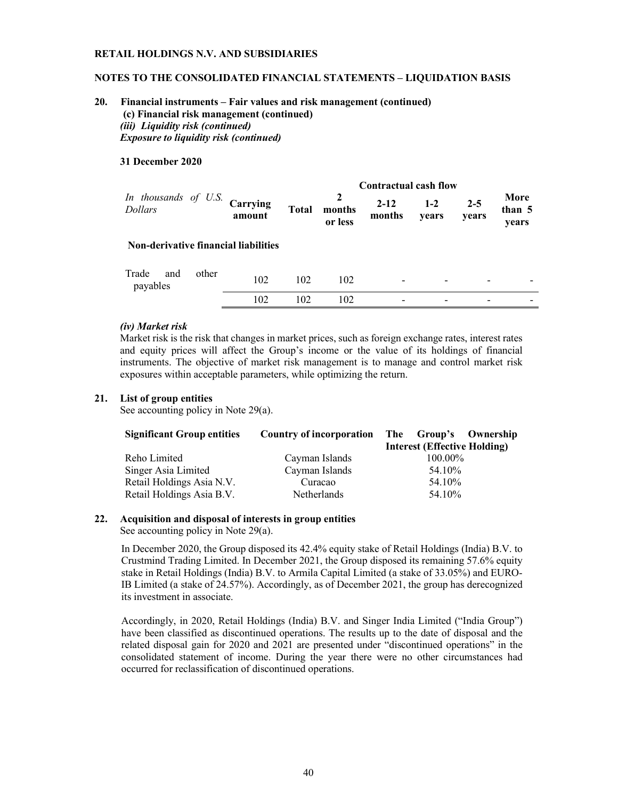# **NOTES TO THE CONSOLIDATED FINANCIAL STATEMENTS – LIQUIDATION BASIS**

# **20. Financial instruments – Fair values and risk management (continued) (c) Financial risk management (continued)** *(iii) Liquidity risk (continued) Exposure to liquidity risk (continued)*

### **31 December 2020**

|                                             |       |                    |              |                        | <b>Contractual cash flow</b> |                          |                  |                         |
|---------------------------------------------|-------|--------------------|--------------|------------------------|------------------------------|--------------------------|------------------|-------------------------|
| In thousands of U.S.<br><b>Dollars</b>      |       | Carrying<br>amount | <b>Total</b> | 2<br>months<br>or less | $2 - 12$<br>months           | $1 - 2$<br>vears         | $2 - 5$<br>years | More<br>than 5<br>years |
| <b>Non-derivative financial liabilities</b> |       |                    |              |                        |                              |                          |                  |                         |
| Trade<br>and<br>payables                    | other | 102                | 102          | 102                    |                              |                          |                  |                         |
|                                             |       | 102                | 102          | 102                    | $\overline{\phantom{0}}$     | $\overline{\phantom{0}}$ |                  |                         |

### *(iv) Market risk*

Market risk is the risk that changes in market prices, such as foreign exchange rates, interest rates and equity prices will affect the Group's income or the value of its holdings of financial instruments. The objective of market risk management is to manage and control market risk exposures within acceptable parameters, while optimizing the return.

### **21. List of group entities**

See accounting policy in Note 29(a).

| <b>Significant Group entities</b> |                    | Country of incorporation The Group's Ownership |
|-----------------------------------|--------------------|------------------------------------------------|
|                                   |                    | <b>Interest (Effective Holding)</b>            |
| Reho Limited                      | Cayman Islands     | 100.00%                                        |
| Singer Asia Limited               | Cayman Islands     | 54.10%                                         |
| Retail Holdings Asia N.V.         | Curacao            | 54.10%                                         |
| Retail Holdings Asia B.V.         | <b>Netherlands</b> | 54.10%                                         |

# **22. Acquisition and disposal of interests in group entities**

See accounting policy in Note 29(a).

In December 2020, the Group disposed its 42.4% equity stake of Retail Holdings (India) B.V. to Crustmind Trading Limited. In December 2021, the Group disposed its remaining 57.6% equity stake in Retail Holdings (India) B.V. to Armila Capital Limited (a stake of 33.05%) and EURO-IB Limited (a stake of 24.57%). Accordingly, as of December 2021, the group has derecognized its investment in associate.

Accordingly, in 2020, Retail Holdings (India) B.V. and Singer India Limited ("India Group") have been classified as discontinued operations. The results up to the date of disposal and the related disposal gain for 2020 and 2021 are presented under "discontinued operations" in the consolidated statement of income. During the year there were no other circumstances had occurred for reclassification of discontinued operations.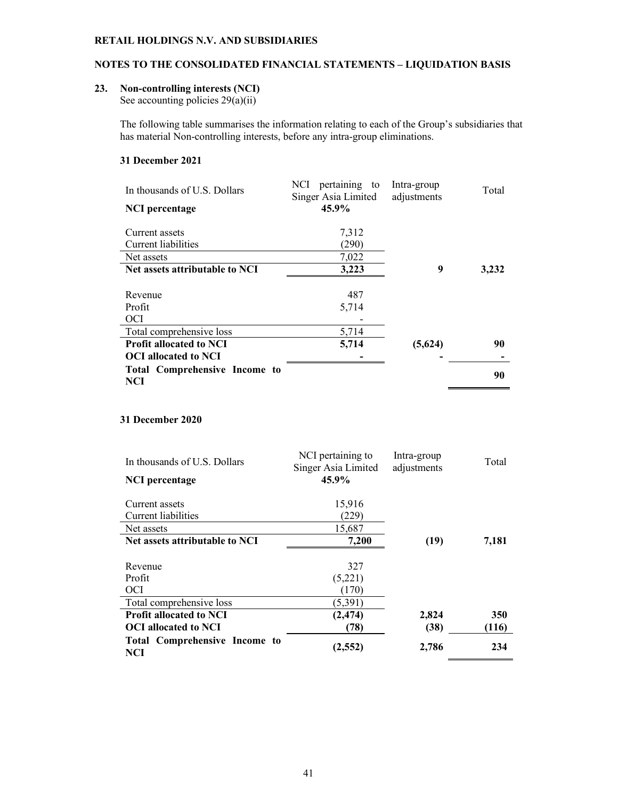# **NOTES TO THE CONSOLIDATED FINANCIAL STATEMENTS – LIQUIDATION BASIS**

### **23. Non-controlling interests (NCI)**

See accounting policies  $29(a)(ii)$ 

The following table summarises the information relating to each of the Group's subsidiaries that has material Non-controlling interests, before any intra-group eliminations.

# **31 December 2021**

| In thousands of U.S. Dollars                | NCI pertaining<br>to<br>Singer Asia Limited | Intra-group<br>adjustments | Total |
|---------------------------------------------|---------------------------------------------|----------------------------|-------|
| <b>NCI</b> percentage                       | 45.9%                                       |                            |       |
| Current assets                              | 7,312                                       |                            |       |
| Current liabilities                         | (290)                                       |                            |       |
| Net assets                                  | 7,022                                       |                            |       |
| Net assets attributable to NCI              | 3,223                                       | 9                          | 3,232 |
|                                             |                                             |                            |       |
| Revenue                                     | 487                                         |                            |       |
| Profit                                      | 5,714                                       |                            |       |
| <b>OCI</b>                                  |                                             |                            |       |
| Total comprehensive loss                    | 5,714                                       |                            |       |
| <b>Profit allocated to NCI</b>              | 5,714                                       | (5,624)                    | 90    |
| <b>OCI</b> allocated to NCI                 |                                             |                            |       |
| Total Comprehensive Income to<br><b>NCI</b> |                                             |                            | 90    |

# **31 December 2020**

| In thousands of U.S. Dollars                | NCI pertaining to<br>Singer Asia Limited | Intra-group<br>adjustments | Total |
|---------------------------------------------|------------------------------------------|----------------------------|-------|
| NCI percentage                              | 45.9%                                    |                            |       |
| Current assets                              | 15,916                                   |                            |       |
| Current liabilities                         | (229)                                    |                            |       |
| Net assets                                  | 15,687                                   |                            |       |
| Net assets attributable to NCI              | 7,200                                    | (19)                       | 7,181 |
|                                             |                                          |                            |       |
| Revenue                                     | 327                                      |                            |       |
| Profit                                      | (5,221)                                  |                            |       |
| OCI                                         | (170)                                    |                            |       |
| Total comprehensive loss                    | (5,391)                                  |                            |       |
| <b>Profit allocated to NCI</b>              | (2, 474)                                 | 2,824                      | 350   |
| <b>OCI</b> allocated to NCI                 | (78)                                     | (38)                       | (116) |
| <b>Total Comprehensive Income to</b><br>NCI | (2, 552)                                 | 2,786                      | 234   |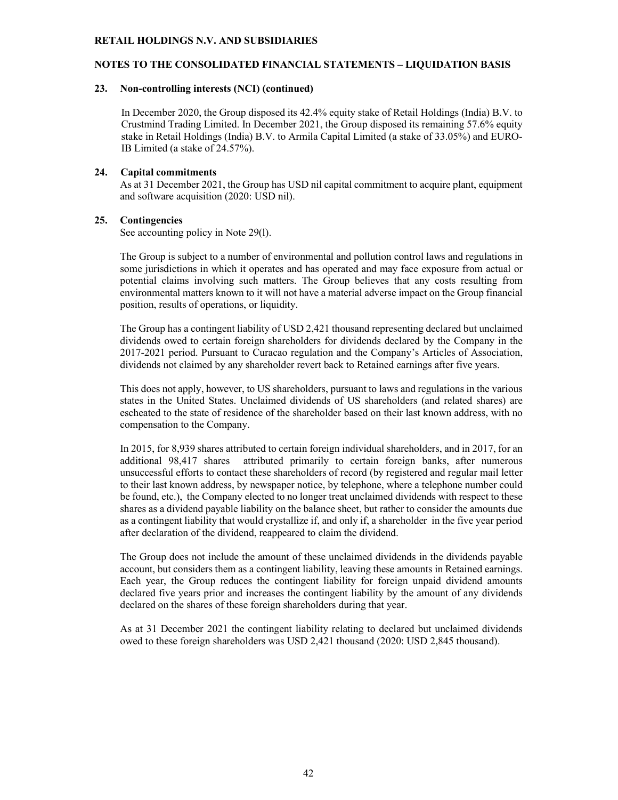# **NOTES TO THE CONSOLIDATED FINANCIAL STATEMENTS – LIQUIDATION BASIS**

### **23. Non-controlling interests (NCI) (continued)**

In December 2020, the Group disposed its 42.4% equity stake of Retail Holdings (India) B.V. to Crustmind Trading Limited. In December 2021, the Group disposed its remaining 57.6% equity stake in Retail Holdings (India) B.V. to Armila Capital Limited (a stake of 33.05%) and EURO-IB Limited (a stake of 24.57%).

### **24. Capital commitments**

As at 31 December 2021, the Group has USD nil capital commitment to acquire plant, equipment and software acquisition (2020: USD nil).

### **25. Contingencies**

See accounting policy in Note 29(l).

The Group is subject to a number of environmental and pollution control laws and regulations in some jurisdictions in which it operates and has operated and may face exposure from actual or potential claims involving such matters. The Group believes that any costs resulting from environmental matters known to it will not have a material adverse impact on the Group financial position, results of operations, or liquidity.

The Group has a contingent liability of USD 2,421 thousand representing declared but unclaimed dividends owed to certain foreign shareholders for dividends declared by the Company in the 2017-2021 period. Pursuant to Curacao regulation and the Company's Articles of Association, dividends not claimed by any shareholder revert back to Retained earnings after five years.

This does not apply, however, to US shareholders, pursuant to laws and regulations in the various states in the United States. Unclaimed dividends of US shareholders (and related shares) are escheated to the state of residence of the shareholder based on their last known address, with no compensation to the Company.

In 2015, for 8,939 shares attributed to certain foreign individual shareholders, and in 2017, for an additional 98,417 shares attributed primarily to certain foreign banks, after numerous unsuccessful efforts to contact these shareholders of record (by registered and regular mail letter to their last known address, by newspaper notice, by telephone, where a telephone number could be found, etc.), the Company elected to no longer treat unclaimed dividends with respect to these shares as a dividend payable liability on the balance sheet, but rather to consider the amounts due as a contingent liability that would crystallize if, and only if, a shareholder in the five year period after declaration of the dividend, reappeared to claim the dividend.

The Group does not include the amount of these unclaimed dividends in the dividends payable account, but considers them as a contingent liability, leaving these amounts in Retained earnings. Each year, the Group reduces the contingent liability for foreign unpaid dividend amounts declared five years prior and increases the contingent liability by the amount of any dividends declared on the shares of these foreign shareholders during that year.

As at 31 December 2021 the contingent liability relating to declared but unclaimed dividends owed to these foreign shareholders was USD 2,421 thousand (2020: USD 2,845 thousand).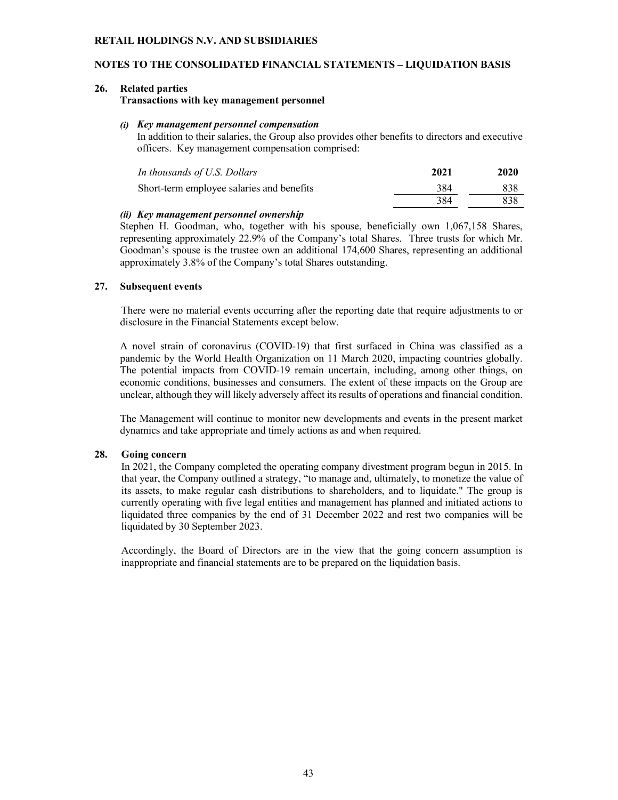# **NOTES TO THE CONSOLIDATED FINANCIAL STATEMENTS – LIQUIDATION BASIS**

#### **26. Related parties**

**Transactions with key management personnel** 

#### *(i) Key management personnel compensation*

In addition to their salaries, the Group also provides other benefits to directors and executive officers. Key management compensation comprised:

| In thousands of U.S. Dollars              | 2021 | 2020 |
|-------------------------------------------|------|------|
| Short-term employee salaries and benefits | 384  | 838  |
|                                           | 384  | 838  |

# *(ii) Key management personnel ownership*

Stephen H. Goodman, who, together with his spouse, beneficially own 1,067,158 Shares, representing approximately 22.9% of the Company's total Shares. Three trusts for which Mr. Goodman's spouse is the trustee own an additional 174,600 Shares, representing an additional approximately 3.8% of the Company's total Shares outstanding.

### **27. Subsequent events**

There were no material events occurring after the reporting date that require adjustments to or disclosure in the Financial Statements except below.

A novel strain of coronavirus (COVID-19) that first surfaced in China was classified as a pandemic by the World Health Organization on 11 March 2020, impacting countries globally. The potential impacts from COVID-19 remain uncertain, including, among other things, on economic conditions, businesses and consumers. The extent of these impacts on the Group are unclear, although they will likely adversely affect its results of operations and financial condition.

The Management will continue to monitor new developments and events in the present market dynamics and take appropriate and timely actions as and when required.

#### **28. Going concern**

In 2021, the Company completed the operating company divestment program begun in 2015. In that year, the Company outlined a strategy, "to manage and, ultimately, to monetize the value of its assets, to make regular cash distributions to shareholders, and to liquidate." The group is currently operating with five legal entities and management has planned and initiated actions to liquidated three companies by the end of 31 December 2022 and rest two companies will be liquidated by 30 September 2023.

Accordingly, the Board of Directors are in the view that the going concern assumption is inappropriate and financial statements are to be prepared on the liquidation basis.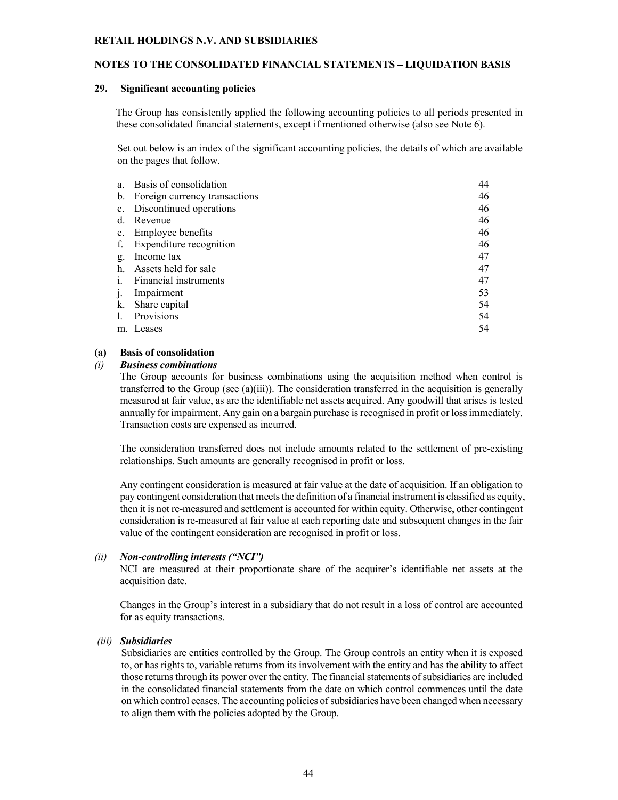#### **NOTES TO THE CONSOLIDATED FINANCIAL STATEMENTS – LIQUIDATION BASIS**

#### **29. Significant accounting policies**

The Group has consistently applied the following accounting policies to all periods presented in these consolidated financial statements, except if mentioned otherwise (also see Note 6).

Set out below is an index of the significant accounting policies, the details of which are available on the pages that follow.

| 46<br>46 |
|----------|
|          |
|          |
| 46       |
| 46       |
| 46       |
| 47       |
| 47       |
| 47       |
| 53       |
| 54       |
| 54       |
| 54       |
|          |

# **(a) Basis of consolidation**

#### *(i) Business combinations*

The Group accounts for business combinations using the acquisition method when control is transferred to the Group (see (a)(iii)). The consideration transferred in the acquisition is generally measured at fair value, as are the identifiable net assets acquired. Any goodwill that arises is tested annually for impairment. Any gain on a bargain purchase is recognised in profit or loss immediately. Transaction costs are expensed as incurred.

The consideration transferred does not include amounts related to the settlement of pre-existing relationships. Such amounts are generally recognised in profit or loss.

Any contingent consideration is measured at fair value at the date of acquisition. If an obligation to pay contingent consideration that meets the definition of a financial instrument is classified as equity, then it is not re-measured and settlement is accounted for within equity. Otherwise, other contingent consideration is re-measured at fair value at each reporting date and subsequent changes in the fair value of the contingent consideration are recognised in profit or loss.

# *(ii) Non-controlling interests ("NCI")*

NCI are measured at their proportionate share of the acquirer's identifiable net assets at the acquisition date.

Changes in the Group's interest in a subsidiary that do not result in a loss of control are accounted for as equity transactions.

#### *(iii) Subsidiaries*

Subsidiaries are entities controlled by the Group. The Group controls an entity when it is exposed to, or has rights to, variable returns from its involvement with the entity and has the ability to affect those returns through its power over the entity. The financial statements of subsidiaries are included in the consolidated financial statements from the date on which control commences until the date on which control ceases. The accounting policies of subsidiaries have been changed when necessary to align them with the policies adopted by the Group.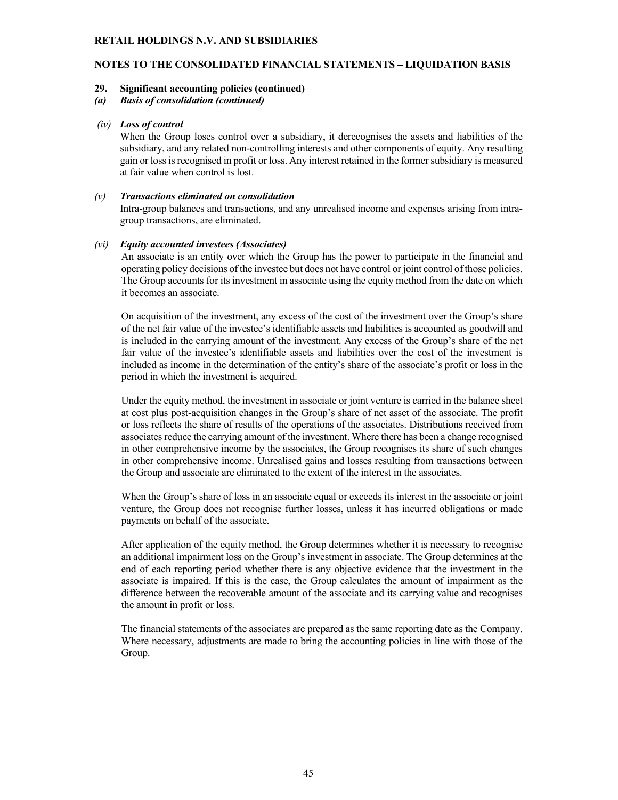# **NOTES TO THE CONSOLIDATED FINANCIAL STATEMENTS – LIQUIDATION BASIS**

#### **29. Significant accounting policies (continued)**

*(a) Basis of consolidation (continued)*

#### *(iv) Loss of control*

When the Group loses control over a subsidiary, it derecognises the assets and liabilities of the subsidiary, and any related non-controlling interests and other components of equity. Any resulting gain or loss is recognised in profit or loss. Any interest retained in the former subsidiary is measured at fair value when control is lost.

#### *(v) Transactions eliminated on consolidation*

Intra-group balances and transactions, and any unrealised income and expenses arising from intragroup transactions, are eliminated.

#### *(vi) Equity accounted investees (Associates)*

An associate is an entity over which the Group has the power to participate in the financial and operating policy decisions of the investee but does not have control or joint control of those policies. The Group accounts for its investment in associate using the equity method from the date on which it becomes an associate.

On acquisition of the investment, any excess of the cost of the investment over the Group's share of the net fair value of the investee's identifiable assets and liabilities is accounted as goodwill and is included in the carrying amount of the investment. Any excess of the Group's share of the net fair value of the investee's identifiable assets and liabilities over the cost of the investment is included as income in the determination of the entity's share of the associate's profit or loss in the period in which the investment is acquired.

Under the equity method, the investment in associate or joint venture is carried in the balance sheet at cost plus post-acquisition changes in the Group's share of net asset of the associate. The profit or loss reflects the share of results of the operations of the associates. Distributions received from associates reduce the carrying amount of the investment. Where there has been a change recognised in other comprehensive income by the associates, the Group recognises its share of such changes in other comprehensive income. Unrealised gains and losses resulting from transactions between the Group and associate are eliminated to the extent of the interest in the associates.

When the Group's share of loss in an associate equal or exceeds its interest in the associate or joint venture, the Group does not recognise further losses, unless it has incurred obligations or made payments on behalf of the associate.

After application of the equity method, the Group determines whether it is necessary to recognise an additional impairment loss on the Group's investment in associate. The Group determines at the end of each reporting period whether there is any objective evidence that the investment in the associate is impaired. If this is the case, the Group calculates the amount of impairment as the difference between the recoverable amount of the associate and its carrying value and recognises the amount in profit or loss.

The financial statements of the associates are prepared as the same reporting date as the Company. Where necessary, adjustments are made to bring the accounting policies in line with those of the Group.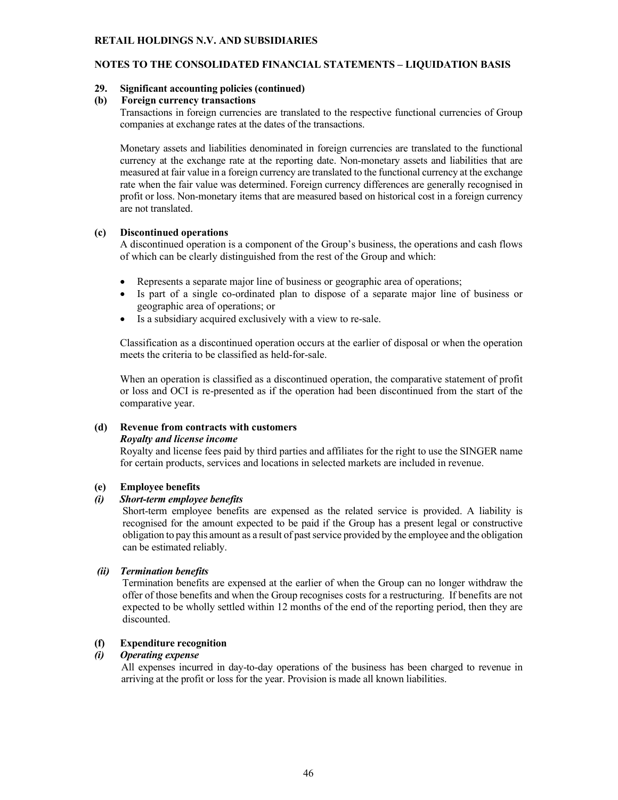# **NOTES TO THE CONSOLIDATED FINANCIAL STATEMENTS – LIQUIDATION BASIS**

### **29. Significant accounting policies (continued)**

#### **(b) Foreign currency transactions**

Transactions in foreign currencies are translated to the respective functional currencies of Group companies at exchange rates at the dates of the transactions.

Monetary assets and liabilities denominated in foreign currencies are translated to the functional currency at the exchange rate at the reporting date. Non-monetary assets and liabilities that are measured at fair value in a foreign currency are translated to the functional currency at the exchange rate when the fair value was determined. Foreign currency differences are generally recognised in profit or loss. Non-monetary items that are measured based on historical cost in a foreign currency are not translated.

### **(c) Discontinued operations**

A discontinued operation is a component of the Group's business, the operations and cash flows of which can be clearly distinguished from the rest of the Group and which:

- Represents a separate major line of business or geographic area of operations;
- Is part of a single co-ordinated plan to dispose of a separate major line of business or geographic area of operations; or
- Is a subsidiary acquired exclusively with a view to re-sale.

Classification as a discontinued operation occurs at the earlier of disposal or when the operation meets the criteria to be classified as held-for-sale.

When an operation is classified as a discontinued operation, the comparative statement of profit or loss and OCI is re-presented as if the operation had been discontinued from the start of the comparative year.

# **(d) Revenue from contracts with customers**

#### *Royalty and license income*

Royalty and license fees paid by third parties and affiliates for the right to use the SINGER name for certain products, services and locations in selected markets are included in revenue.

# **(e) Employee benefits**

# *(i) Short-term employee benefits*

 Short-term employee benefits are expensed as the related service is provided. A liability is recognised for the amount expected to be paid if the Group has a present legal or constructive obligation to pay this amount as a result of past service provided by the employee and the obligation can be estimated reliably.

# *(ii) Termination benefits*

 Termination benefits are expensed at the earlier of when the Group can no longer withdraw the offer of those benefits and when the Group recognises costs for a restructuring. If benefits are not expected to be wholly settled within 12 months of the end of the reporting period, then they are discounted.

# **(f) Expenditure recognition**

#### *(i) Operating expense*

All expenses incurred in day-to-day operations of the business has been charged to revenue in arriving at the profit or loss for the year. Provision is made all known liabilities.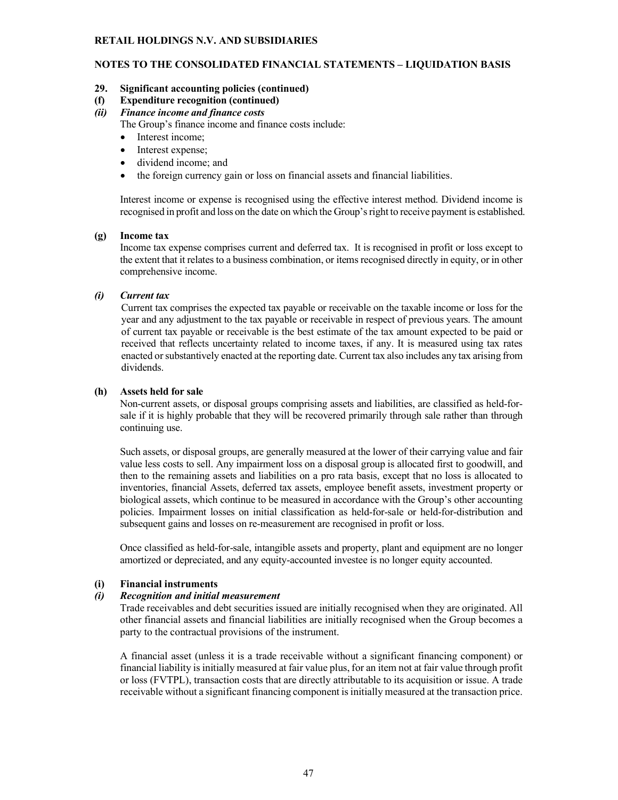# **NOTES TO THE CONSOLIDATED FINANCIAL STATEMENTS – LIQUIDATION BASIS**

# **29. Significant accounting policies (continued)**

**(f) Expenditure recognition (continued)**

# *(ii) Finance income and finance costs*

The Group's finance income and finance costs include:

- Interest income;
- Interest expense;
- dividend income; and
- the foreign currency gain or loss on financial assets and financial liabilities.

Interest income or expense is recognised using the effective interest method. Dividend income is recognised in profit and loss on the date on which the Group's right to receive payment is established.

### **(g) Income tax**

Income tax expense comprises current and deferred tax. It is recognised in profit or loss except to the extent that it relates to a business combination, or items recognised directly in equity, or in other comprehensive income.

### *(i) Current tax*

Current tax comprises the expected tax payable or receivable on the taxable income or loss for the year and any adjustment to the tax payable or receivable in respect of previous years. The amount of current tax payable or receivable is the best estimate of the tax amount expected to be paid or received that reflects uncertainty related to income taxes, if any. It is measured using tax rates enacted or substantively enacted at the reporting date. Current tax also includes any tax arising from dividends.

### **(h) Assets held for sale**

Non-current assets, or disposal groups comprising assets and liabilities, are classified as held-forsale if it is highly probable that they will be recovered primarily through sale rather than through continuing use.

Such assets, or disposal groups, are generally measured at the lower of their carrying value and fair value less costs to sell. Any impairment loss on a disposal group is allocated first to goodwill, and then to the remaining assets and liabilities on a pro rata basis, except that no loss is allocated to inventories, financial Assets, deferred tax assets, employee benefit assets, investment property or biological assets, which continue to be measured in accordance with the Group's other accounting policies. Impairment losses on initial classification as held-for-sale or held-for-distribution and subsequent gains and losses on re-measurement are recognised in profit or loss.

Once classified as held-for-sale, intangible assets and property, plant and equipment are no longer amortized or depreciated, and any equity-accounted investee is no longer equity accounted.

# **(i) Financial instruments**

#### *(i) Recognition and initial measurement*

Trade receivables and debt securities issued are initially recognised when they are originated. All other financial assets and financial liabilities are initially recognised when the Group becomes a party to the contractual provisions of the instrument.

A financial asset (unless it is a trade receivable without a significant financing component) or financial liability is initially measured at fair value plus, for an item not at fair value through profit or loss (FVTPL), transaction costs that are directly attributable to its acquisition or issue. A trade receivable without a significant financing component is initially measured at the transaction price.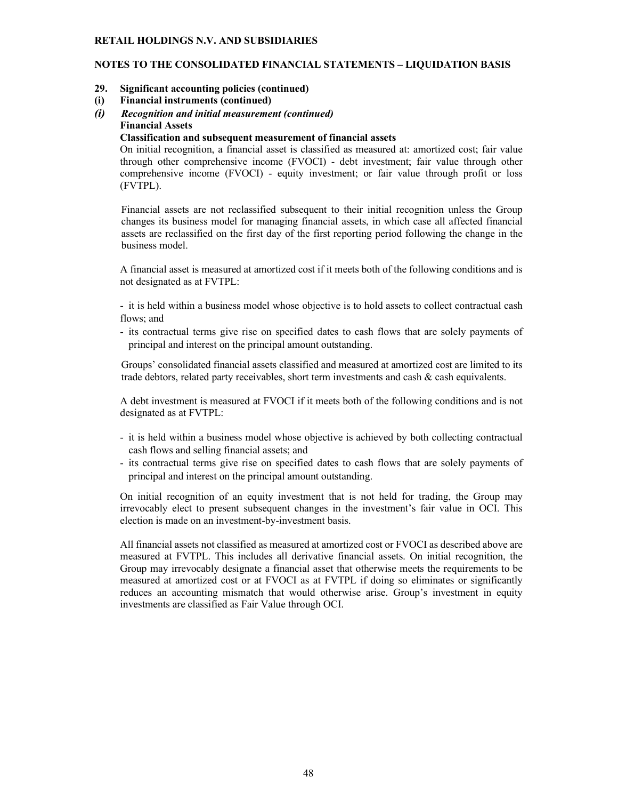# **NOTES TO THE CONSOLIDATED FINANCIAL STATEMENTS – LIQUIDATION BASIS**

- **29. Significant accounting policies (continued)**
- **(i) Financial instruments (continued)**
- *(i) Recognition and initial measurement (continued)* **Financial Assets**

#### **Classification and subsequent measurement of financial assets**

On initial recognition, a financial asset is classified as measured at: amortized cost; fair value through other comprehensive income (FVOCI) - debt investment; fair value through other comprehensive income (FVOCI) - equity investment; or fair value through profit or loss (FVTPL).

Financial assets are not reclassified subsequent to their initial recognition unless the Group changes its business model for managing financial assets, in which case all affected financial assets are reclassified on the first day of the first reporting period following the change in the business model.

A financial asset is measured at amortized cost if it meets both of the following conditions and is not designated as at FVTPL:

- it is held within a business model whose objective is to hold assets to collect contractual cash flows; and

- its contractual terms give rise on specified dates to cash flows that are solely payments of principal and interest on the principal amount outstanding.

Groups' consolidated financial assets classified and measured at amortized cost are limited to its trade debtors, related party receivables, short term investments and cash & cash equivalents.

A debt investment is measured at FVOCI if it meets both of the following conditions and is not designated as at FVTPL:

- it is held within a business model whose objective is achieved by both collecting contractual cash flows and selling financial assets; and
- its contractual terms give rise on specified dates to cash flows that are solely payments of principal and interest on the principal amount outstanding.

On initial recognition of an equity investment that is not held for trading, the Group may irrevocably elect to present subsequent changes in the investment's fair value in OCI. This election is made on an investment-by-investment basis.

All financial assets not classified as measured at amortized cost or FVOCI as described above are measured at FVTPL. This includes all derivative financial assets. On initial recognition, the Group may irrevocably designate a financial asset that otherwise meets the requirements to be measured at amortized cost or at FVOCI as at FVTPL if doing so eliminates or significantly reduces an accounting mismatch that would otherwise arise. Group's investment in equity investments are classified as Fair Value through OCI.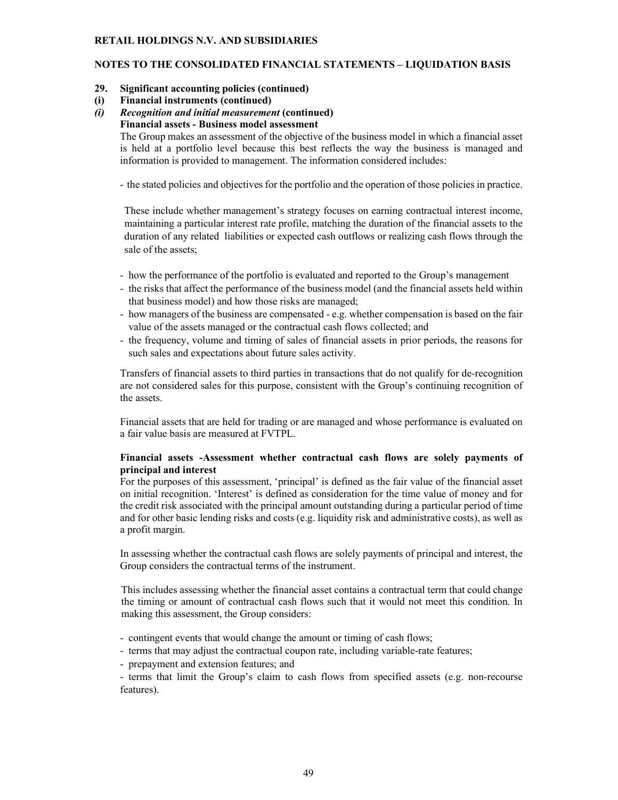# **NOTES TO THE CONSOLIDATED FINANCIAL STATEMENTS – LIQUIDATION BASIS**

- **29. Significant accounting policies (continued)**
- **(i) Financial instruments (continued)**
- *(i) Recognition and initial measurement* **(continued) Financial assets - Business model assessment**

The Group makes an assessment of the objective of the business model in which a financial asset is held at a portfolio level because this best reflects the way the business is managed and information is provided to management. The information considered includes:

- the stated policies and objectives for the portfolio and the operation of those policies in practice.

These include whether management's strategy focuses on earning contractual interest income, maintaining a particular interest rate profile, matching the duration of the financial assets to the duration of any related liabilities or expected cash outflows or realizing cash flows through the sale of the assets;

- how the performance of the portfolio is evaluated and reported to the Group's management
- the risks that affect the performance of the business model (and the financial assets held within that business model) and how those risks are managed;
- how managers of the business are compensated e.g. whether compensation is based on the fair value of the assets managed or the contractual cash flows collected; and
- the frequency, volume and timing of sales of financial assets in prior periods, the reasons for such sales and expectations about future sales activity.

Transfers of financial assets to third parties in transactions that do not qualify for de-recognition are not considered sales for this purpose, consistent with the Group's continuing recognition of the assets.

Financial assets that are held for trading or are managed and whose performance is evaluated on a fair value basis are measured at FVTPL.

# **Financial assets -Assessment whether contractual cash flows are solely payments of principal and interest**

For the purposes of this assessment, 'principal' is defined as the fair value of the financial asset on initial recognition. 'Interest' is defined as consideration for the time value of money and for the credit risk associated with the principal amount outstanding during a particular period of time and for other basic lending risks and costs (e.g. liquidity risk and administrative costs), as well as a profit margin.

In assessing whether the contractual cash flows are solely payments of principal and interest, the Group considers the contractual terms of the instrument.

This includes assessing whether the financial asset contains a contractual term that could change the timing or amount of contractual cash flows such that it would not meet this condition. In making this assessment, the Group considers:

- contingent events that would change the amount or timing of cash flows;
- terms that may adjust the contractual coupon rate, including variable-rate features;
- prepayment and extension features; and

- terms that limit the Group's claim to cash flows from specified assets (e.g. non-recourse features).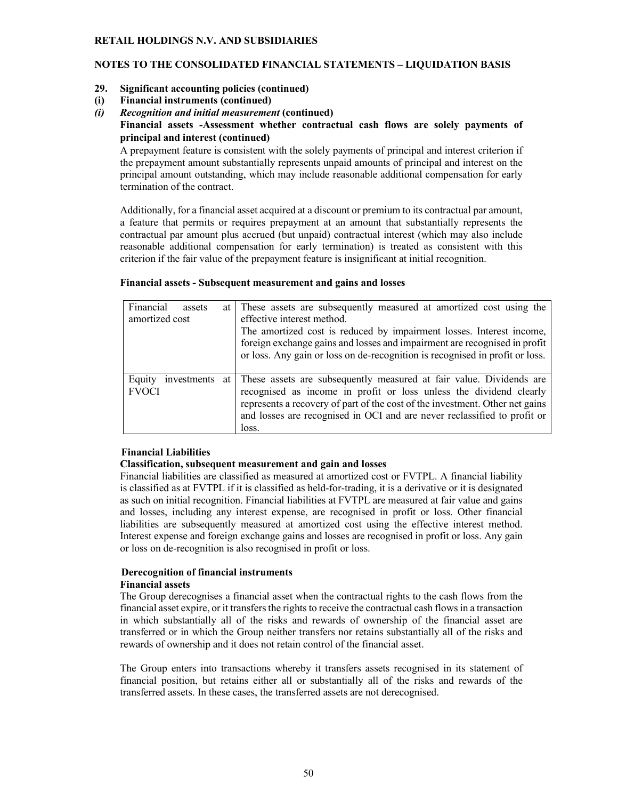# **NOTES TO THE CONSOLIDATED FINANCIAL STATEMENTS – LIQUIDATION BASIS**

- **29. Significant accounting policies (continued)**
- **(i) Financial instruments (continued)**
- *(i) Recognition and initial measurement* **(continued) Financial assets -Assessment whether contractual cash flows are solely payments of principal and interest (continued)**

A prepayment feature is consistent with the solely payments of principal and interest criterion if the prepayment amount substantially represents unpaid amounts of principal and interest on the principal amount outstanding, which may include reasonable additional compensation for early termination of the contract.

Additionally, for a financial asset acquired at a discount or premium to its contractual par amount, a feature that permits or requires prepayment at an amount that substantially represents the contractual par amount plus accrued (but unpaid) contractual interest (which may also include reasonable additional compensation for early termination) is treated as consistent with this criterion if the fair value of the prepayment feature is insignificant at initial recognition.

### **Financial assets - Subsequent measurement and gains and losses**

| Financial      | assets           | at l | These assets are subsequently measured at amortized cost using the           |
|----------------|------------------|------|------------------------------------------------------------------------------|
| amortized cost |                  |      | effective interest method.                                                   |
|                |                  |      | The amortized cost is reduced by impairment losses. Interest income,         |
|                |                  |      | foreign exchange gains and losses and impairment are recognised in profit    |
|                |                  |      | or loss. Any gain or loss on de-recognition is recognised in profit or loss. |
|                |                  |      |                                                                              |
| Equity         | investments at l |      | These assets are subsequently measured at fair value. Dividends are          |
| <b>FVOCI</b>   |                  |      | recognised as income in profit or loss unless the dividend clearly           |
|                |                  |      | represents a recovery of part of the cost of the investment. Other net gains |
|                |                  |      | and losses are recognised in OCI and are never reclassified to profit or     |
|                |                  |      | loss.                                                                        |

# **Financial Liabilities**

#### **Classification, subsequent measurement and gain and losses**

Financial liabilities are classified as measured at amortized cost or FVTPL. A financial liability is classified as at FVTPL if it is classified as held-for-trading, it is a derivative or it is designated as such on initial recognition. Financial liabilities at FVTPL are measured at fair value and gains and losses, including any interest expense, are recognised in profit or loss. Other financial liabilities are subsequently measured at amortized cost using the effective interest method. Interest expense and foreign exchange gains and losses are recognised in profit or loss. Any gain or loss on de-recognition is also recognised in profit or loss.

#### **Derecognition of financial instruments Financial assets**

The Group derecognises a financial asset when the contractual rights to the cash flows from the financial asset expire, or it transfers the rights to receive the contractual cash flows in a transaction in which substantially all of the risks and rewards of ownership of the financial asset are transferred or in which the Group neither transfers nor retains substantially all of the risks and rewards of ownership and it does not retain control of the financial asset.

The Group enters into transactions whereby it transfers assets recognised in its statement of financial position, but retains either all or substantially all of the risks and rewards of the transferred assets. In these cases, the transferred assets are not derecognised.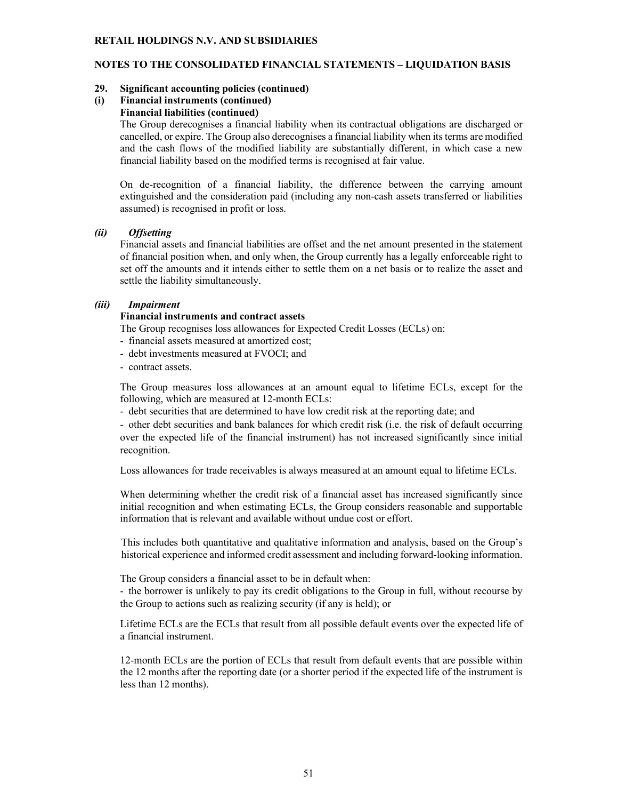# **NOTES TO THE CONSOLIDATED FINANCIAL STATEMENTS – LIQUIDATION BASIS**

### **29. Significant accounting policies (continued)**

# **(i) Financial instruments (continued)**

# **Financial liabilities (continued)**

The Group derecognises a financial liability when its contractual obligations are discharged or cancelled, or expire. The Group also derecognises a financial liability when its terms are modified and the cash flows of the modified liability are substantially different, in which case a new financial liability based on the modified terms is recognised at fair value.

On de-recognition of a financial liability, the difference between the carrying amount extinguished and the consideration paid (including any non-cash assets transferred or liabilities assumed) is recognised in profit or loss.

### *(ii) Offsetting*

Financial assets and financial liabilities are offset and the net amount presented in the statement of financial position when, and only when, the Group currently has a legally enforceable right to set off the amounts and it intends either to settle them on a net basis or to realize the asset and settle the liability simultaneously.

# *(iii) Impairment*

# **Financial instruments and contract assets**

The Group recognises loss allowances for Expected Credit Losses (ECLs) on:

- financial assets measured at amortized cost;
- debt investments measured at FVOCI; and
- contract assets.

The Group measures loss allowances at an amount equal to lifetime ECLs, except for the following, which are measured at 12-month ECLs:

- debt securities that are determined to have low credit risk at the reporting date; and

- other debt securities and bank balances for which credit risk (i.e. the risk of default occurring over the expected life of the financial instrument) has not increased significantly since initial recognition.

Loss allowances for trade receivables is always measured at an amount equal to lifetime ECLs.

When determining whether the credit risk of a financial asset has increased significantly since initial recognition and when estimating ECLs, the Group considers reasonable and supportable information that is relevant and available without undue cost or effort.

This includes both quantitative and qualitative information and analysis, based on the Group's historical experience and informed credit assessment and including forward-looking information.

The Group considers a financial asset to be in default when:

- the borrower is unlikely to pay its credit obligations to the Group in full, without recourse by the Group to actions such as realizing security (if any is held); or

Lifetime ECLs are the ECLs that result from all possible default events over the expected life of a financial instrument.

12-month ECLs are the portion of ECLs that result from default events that are possible within the 12 months after the reporting date (or a shorter period if the expected life of the instrument is less than 12 months).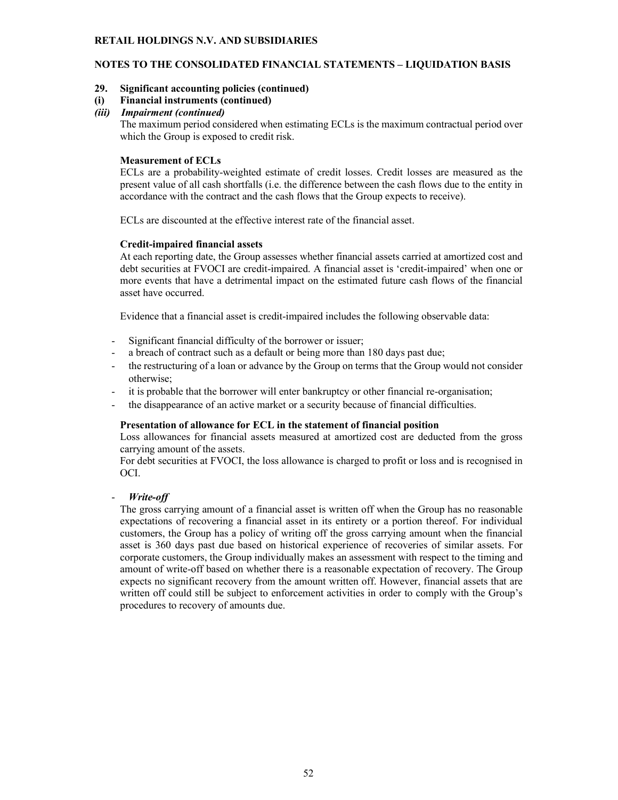# **NOTES TO THE CONSOLIDATED FINANCIAL STATEMENTS – LIQUIDATION BASIS**

# **29. Significant accounting policies (continued)**

### **(i) Financial instruments (continued)**

### *(iii) Impairment (continued)*

The maximum period considered when estimating ECLs is the maximum contractual period over which the Group is exposed to credit risk.

### **Measurement of ECLs**

ECLs are a probability-weighted estimate of credit losses. Credit losses are measured as the present value of all cash shortfalls (i.e. the difference between the cash flows due to the entity in accordance with the contract and the cash flows that the Group expects to receive).

ECLs are discounted at the effective interest rate of the financial asset.

### **Credit-impaired financial assets**

At each reporting date, the Group assesses whether financial assets carried at amortized cost and debt securities at FVOCI are credit-impaired. A financial asset is 'credit-impaired' when one or more events that have a detrimental impact on the estimated future cash flows of the financial asset have occurred.

Evidence that a financial asset is credit-impaired includes the following observable data:

- Significant financial difficulty of the borrower or issuer;
- a breach of contract such as a default or being more than 180 days past due;
- the restructuring of a loan or advance by the Group on terms that the Group would not consider otherwise;
- it is probable that the borrower will enter bankruptcy or other financial re-organisation;
- the disappearance of an active market or a security because of financial difficulties.

#### **Presentation of allowance for ECL in the statement of financial position**

Loss allowances for financial assets measured at amortized cost are deducted from the gross carrying amount of the assets.

For debt securities at FVOCI, the loss allowance is charged to profit or loss and is recognised in OCI.

#### - *Write-off*

The gross carrying amount of a financial asset is written off when the Group has no reasonable expectations of recovering a financial asset in its entirety or a portion thereof. For individual customers, the Group has a policy of writing off the gross carrying amount when the financial asset is 360 days past due based on historical experience of recoveries of similar assets. For corporate customers, the Group individually makes an assessment with respect to the timing and amount of write-off based on whether there is a reasonable expectation of recovery. The Group expects no significant recovery from the amount written off. However, financial assets that are written off could still be subject to enforcement activities in order to comply with the Group's procedures to recovery of amounts due.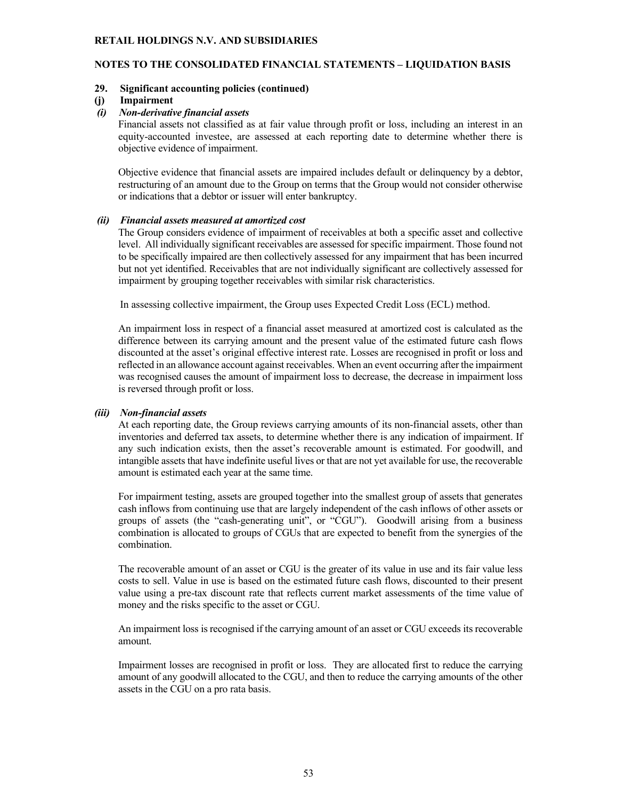### **NOTES TO THE CONSOLIDATED FINANCIAL STATEMENTS – LIQUIDATION BASIS**

#### **29. Significant accounting policies (continued)**

#### **(j) Impairment**

#### *(i) Non-derivative financial assets*

Financial assets not classified as at fair value through profit or loss, including an interest in an equity-accounted investee, are assessed at each reporting date to determine whether there is objective evidence of impairment.

Objective evidence that financial assets are impaired includes default or delinquency by a debtor, restructuring of an amount due to the Group on terms that the Group would not consider otherwise or indications that a debtor or issuer will enter bankruptcy.

#### *(ii) Financial assets measured at amortized cost*

The Group considers evidence of impairment of receivables at both a specific asset and collective level. All individually significant receivables are assessed for specific impairment. Those found not to be specifically impaired are then collectively assessed for any impairment that has been incurred but not yet identified. Receivables that are not individually significant are collectively assessed for impairment by grouping together receivables with similar risk characteristics.

In assessing collective impairment, the Group uses Expected Credit Loss (ECL) method.

An impairment loss in respect of a financial asset measured at amortized cost is calculated as the difference between its carrying amount and the present value of the estimated future cash flows discounted at the asset's original effective interest rate. Losses are recognised in profit or loss and reflected in an allowance account against receivables. When an event occurring after the impairment was recognised causes the amount of impairment loss to decrease, the decrease in impairment loss is reversed through profit or loss.

#### *(iii) Non-financial assets*

At each reporting date, the Group reviews carrying amounts of its non-financial assets, other than inventories and deferred tax assets, to determine whether there is any indication of impairment. If any such indication exists, then the asset's recoverable amount is estimated. For goodwill, and intangible assets that have indefinite useful lives or that are not yet available for use, the recoverable amount is estimated each year at the same time.

For impairment testing, assets are grouped together into the smallest group of assets that generates cash inflows from continuing use that are largely independent of the cash inflows of other assets or groups of assets (the "cash-generating unit", or "CGU"). Goodwill arising from a business combination is allocated to groups of CGUs that are expected to benefit from the synergies of the combination.

The recoverable amount of an asset or CGU is the greater of its value in use and its fair value less costs to sell. Value in use is based on the estimated future cash flows, discounted to their present value using a pre-tax discount rate that reflects current market assessments of the time value of money and the risks specific to the asset or CGU.

An impairment loss is recognised if the carrying amount of an asset or CGU exceeds its recoverable amount.

Impairment losses are recognised in profit or loss. They are allocated first to reduce the carrying amount of any goodwill allocated to the CGU, and then to reduce the carrying amounts of the other assets in the CGU on a pro rata basis.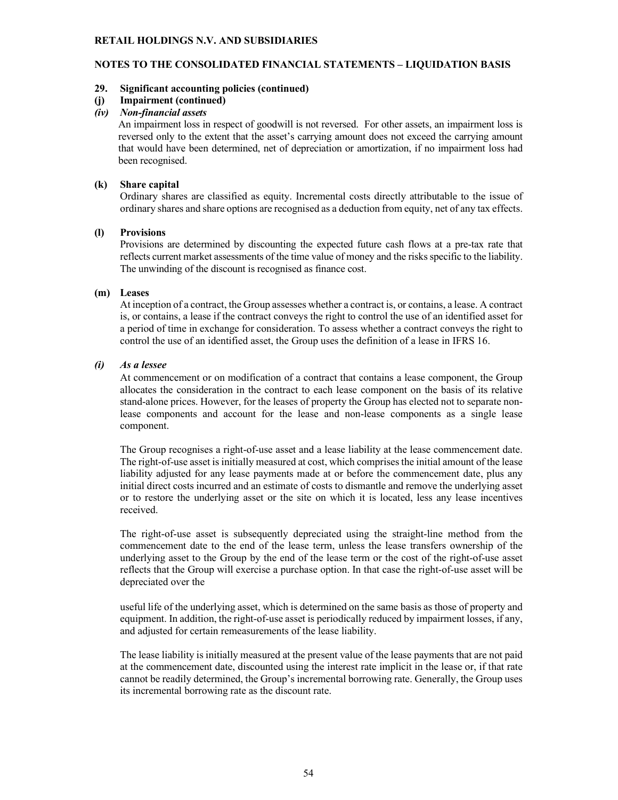# **NOTES TO THE CONSOLIDATED FINANCIAL STATEMENTS – LIQUIDATION BASIS**

### **29. Significant accounting policies (continued)**

# **(j) Impairment (continued)**

# *(iv) Non-financial assets*

An impairment loss in respect of goodwill is not reversed. For other assets, an impairment loss is reversed only to the extent that the asset's carrying amount does not exceed the carrying amount that would have been determined, net of depreciation or amortization, if no impairment loss had been recognised.

# **(k) Share capital**

Ordinary shares are classified as equity. Incremental costs directly attributable to the issue of ordinary shares and share options are recognised as a deduction from equity, net of any tax effects.

### **(l) Provisions**

Provisions are determined by discounting the expected future cash flows at a pre-tax rate that reflects current market assessments of the time value of money and the risks specific to the liability. The unwinding of the discount is recognised as finance cost.

#### **(m) Leases**

At inception of a contract, the Group assesses whether a contract is, or contains, a lease. A contract is, or contains, a lease if the contract conveys the right to control the use of an identified asset for a period of time in exchange for consideration. To assess whether a contract conveys the right to control the use of an identified asset, the Group uses the definition of a lease in IFRS 16.

### *(i) As a lessee*

At commencement or on modification of a contract that contains a lease component, the Group allocates the consideration in the contract to each lease component on the basis of its relative stand-alone prices. However, for the leases of property the Group has elected not to separate nonlease components and account for the lease and non-lease components as a single lease component.

The Group recognises a right-of-use asset and a lease liability at the lease commencement date. The right-of-use asset is initially measured at cost, which comprises the initial amount of the lease liability adjusted for any lease payments made at or before the commencement date, plus any initial direct costs incurred and an estimate of costs to dismantle and remove the underlying asset or to restore the underlying asset or the site on which it is located, less any lease incentives received.

The right-of-use asset is subsequently depreciated using the straight-line method from the commencement date to the end of the lease term, unless the lease transfers ownership of the underlying asset to the Group by the end of the lease term or the cost of the right-of-use asset reflects that the Group will exercise a purchase option. In that case the right-of-use asset will be depreciated over the

useful life of the underlying asset, which is determined on the same basis as those of property and equipment. In addition, the right-of-use asset is periodically reduced by impairment losses, if any, and adjusted for certain remeasurements of the lease liability.

The lease liability is initially measured at the present value of the lease payments that are not paid at the commencement date, discounted using the interest rate implicit in the lease or, if that rate cannot be readily determined, the Group's incremental borrowing rate. Generally, the Group uses its incremental borrowing rate as the discount rate.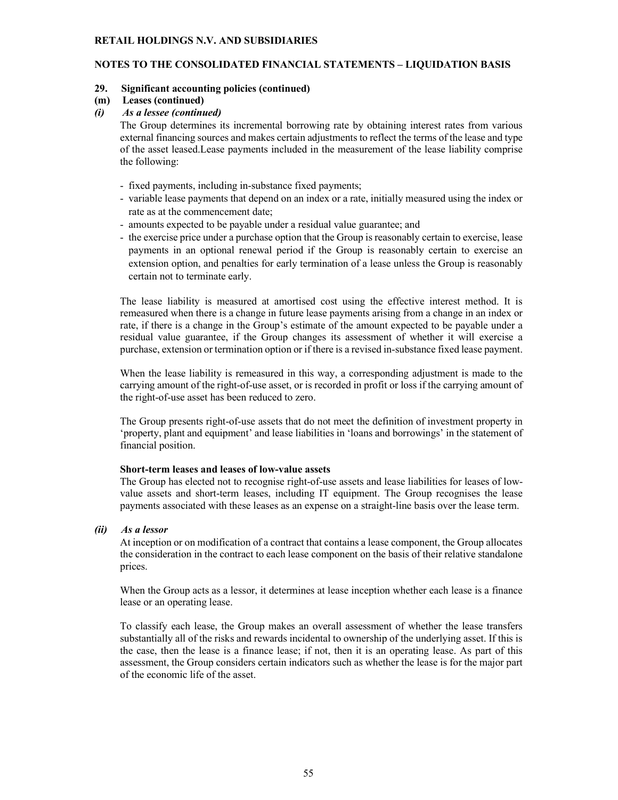# **NOTES TO THE CONSOLIDATED FINANCIAL STATEMENTS – LIQUIDATION BASIS**

### **29. Significant accounting policies (continued)**

### **(m) Leases (continued)**

### *(i) As a lessee (continued)*

The Group determines its incremental borrowing rate by obtaining interest rates from various external financing sources and makes certain adjustments to reflect the terms of the lease and type of the asset leased.Lease payments included in the measurement of the lease liability comprise the following:

- fixed payments, including in-substance fixed payments;
- variable lease payments that depend on an index or a rate, initially measured using the index or rate as at the commencement date;
- amounts expected to be payable under a residual value guarantee; and
- the exercise price under a purchase option that the Group is reasonably certain to exercise, lease payments in an optional renewal period if the Group is reasonably certain to exercise an extension option, and penalties for early termination of a lease unless the Group is reasonably certain not to terminate early.

The lease liability is measured at amortised cost using the effective interest method. It is remeasured when there is a change in future lease payments arising from a change in an index or rate, if there is a change in the Group's estimate of the amount expected to be payable under a residual value guarantee, if the Group changes its assessment of whether it will exercise a purchase, extension or termination option or if there is a revised in-substance fixed lease payment.

When the lease liability is remeasured in this way, a corresponding adjustment is made to the carrying amount of the right-of-use asset, or is recorded in profit or loss if the carrying amount of the right-of-use asset has been reduced to zero.

The Group presents right-of-use assets that do not meet the definition of investment property in 'property, plant and equipment' and lease liabilities in 'loans and borrowings' in the statement of financial position.

#### **Short-term leases and leases of low-value assets**

The Group has elected not to recognise right-of-use assets and lease liabilities for leases of lowvalue assets and short-term leases, including IT equipment. The Group recognises the lease payments associated with these leases as an expense on a straight-line basis over the lease term.

# *(ii) As a lessor*

At inception or on modification of a contract that contains a lease component, the Group allocates the consideration in the contract to each lease component on the basis of their relative standalone prices.

When the Group acts as a lessor, it determines at lease inception whether each lease is a finance lease or an operating lease.

To classify each lease, the Group makes an overall assessment of whether the lease transfers substantially all of the risks and rewards incidental to ownership of the underlying asset. If this is the case, then the lease is a finance lease; if not, then it is an operating lease. As part of this assessment, the Group considers certain indicators such as whether the lease is for the major part of the economic life of the asset.